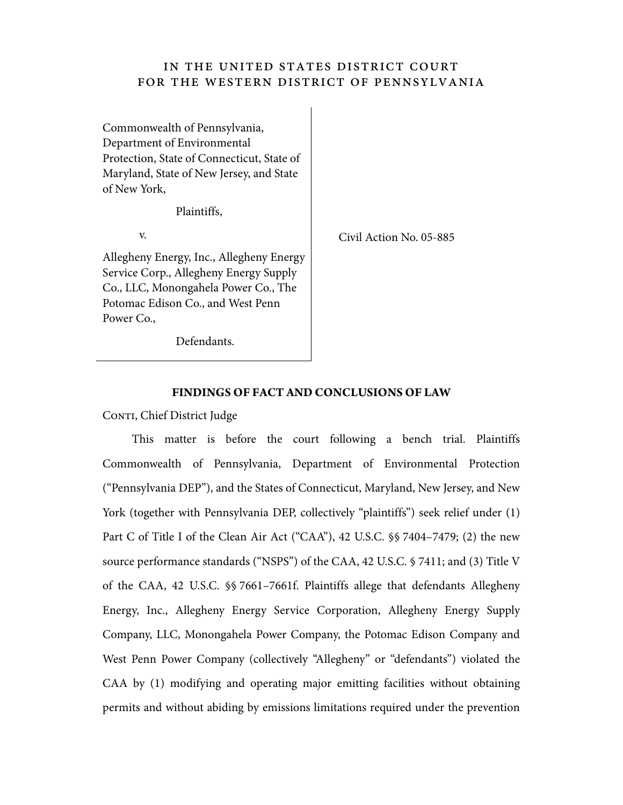## IN THE UNITED STATES DISTRICT COURT FOR THE WESTERN DISTRICT OF PENNSYLVANIA

Commonwealth of Pennsylvania, Department of Environmental Protection, State of Connecticut, State of Maryland, State of New Jersey, and State of New York,

Plaintiffs,

v.

Allegheny Energy, Inc., Allegheny Energy Service Corp., Allegheny Energy Supply Co., LLC, Monongahela Power Co., The Potomac Edison Co., and West Penn Power Co.,

Civil Action No. 05-885

Defendants.

## **FINDINGS OF FACT AND CONCLUSIONS OF LAW**

CONTI, Chief District Judge

This matter is before the court following a bench trial. Plaintiffs Commonwealth of Pennsylvania, Department of Environmental Protection ("Pennsylvania DEP"), and the States of Connecticut, Maryland, New Jersey, and New York (together with Pennsylvania DEP, collectively "plaintiffs") seek relief under (1) Part C of Title I of the Clean Air Act ("CAA"), 42 U.S.C. §§ 7404–7479; (2) the new source performance standards ("NSPS") of the CAA, 42 U.S.C. § 7411; and (3) Title V of the CAA, 42 U.S.C. §§ 7661–7661f. Plaintiffs allege that defendants Allegheny Energy, Inc., Allegheny Energy Service Corporation, Allegheny Energy Supply Company, LLC, Monongahela Power Company, the Potomac Edison Company and West Penn Power Company (collectively "Allegheny" or "defendants") violated the CAA by (1) modifying and operating major emitting facilities without obtaining permits and without abiding by emissions limitations required under the prevention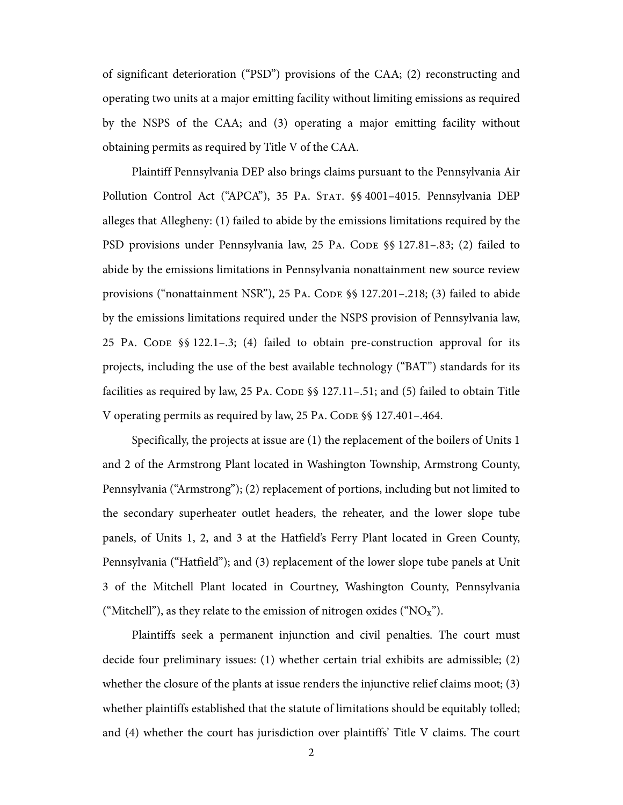of significant deterioration ("PSD") provisions of the CAA; (2) reconstructing and operating two units at a major emitting facility without limiting emissions as required by the NSPS of the CAA; and (3) operating a major emitting facility without obtaining permits as required by Title V of the CAA.

Plaintiff Pennsylvania DEP also brings claims pursuant to the Pennsylvania Air Pollution Control Act ("APCA"), 35 PA. STAT. §§ 4001–4015. Pennsylvania DEP alleges that Allegheny: (1) failed to abide by the emissions limitations required by the PSD provisions under Pennsylvania law, 25 PA. CODE §§ 127.81–.83; (2) failed to abide by the emissions limitations in Pennsylvania nonattainment new source review provisions ("nonattainment NSR"), 25 PA. CODE §§ 127.201–.218; (3) failed to abide by the emissions limitations required under the NSPS provision of Pennsylvania law, 25 PA. CODE §§ 122.1–.3; (4) failed to obtain pre-construction approval for its projects, including the use of the best available technology ("BAT") standards for its facilities as required by law, 25 PA. CODE §§ 127.11–.51; and (5) failed to obtain Title V operating permits as required by law, 25 PA. CODE §§ 127.401–.464.

Specifically, the projects at issue are (1) the replacement of the boilers of Units 1 and 2 of the Armstrong Plant located in Washington Township, Armstrong County, Pennsylvania ("Armstrong"); (2) replacement of portions, including but not limited to the secondary superheater outlet headers, the reheater, and the lower slope tube panels, of Units 1, 2, and 3 at the Hatfield's Ferry Plant located in Green County, Pennsylvania ("Hatfield"); and (3) replacement of the lower slope tube panels at Unit 3 of the Mitchell Plant located in Courtney, Washington County, Pennsylvania ("Mitchell"), as they relate to the emission of nitrogen oxides (" $NO<sub>x</sub>$ ").

Plaintiffs seek a permanent injunction and civil penalties. The court must decide four preliminary issues: (1) whether certain trial exhibits are admissible; (2) whether the closure of the plants at issue renders the injunctive relief claims moot; (3) whether plaintiffs established that the statute of limitations should be equitably tolled; and (4) whether the court has jurisdiction over plaintiffs' Title V claims. The court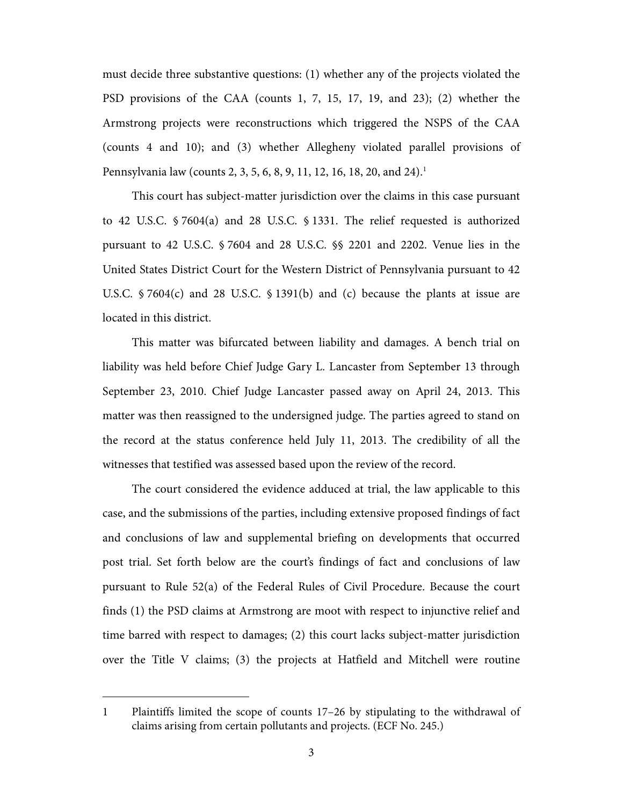must decide three substantive questions: (1) whether any of the projects violated the PSD provisions of the CAA (counts 1, 7, 15, 17, 19, and 23); (2) whether the Armstrong projects were reconstructions which triggered the NSPS of the CAA (counts 4 and 10); and (3) whether Allegheny violated parallel provisions of Pennsylvania law (counts 2, 3, 5, 6, 8, 9, 11, 12, 16, 18, 20, and 24).<sup>1</sup>

This court has subject-matter jurisdiction over the claims in this case pursuant to 42 U.S.C. § 7604(a) and 28 U.S.C. § 1331. The relief requested is authorized pursuant to 42 U.S.C. § 7604 and 28 U.S.C. §§ 2201 and 2202. Venue lies in the United States District Court for the Western District of Pennsylvania pursuant to 42 U.S.C. § 7604(c) and 28 U.S.C. § 1391(b) and (c) because the plants at issue are located in this district.

This matter was bifurcated between liability and damages. A bench trial on liability was held before Chief Judge Gary L. Lancaster from September 13 through September 23, 2010. Chief Judge Lancaster passed away on April 24, 2013. This matter was then reassigned to the undersigned judge. The parties agreed to stand on the record at the status conference held July 11, 2013. The credibility of all the witnesses that testified was assessed based upon the review of the record.

The court considered the evidence adduced at trial, the law applicable to this case, and the submissions of the parties, including extensive proposed findings of fact and conclusions of law and supplemental briefing on developments that occurred post trial. Set forth below are the court's findings of fact and conclusions of law pursuant to Rule 52(a) of the Federal Rules of Civil Procedure. Because the court finds (1) the PSD claims at Armstrong are moot with respect to injunctive relief and time barred with respect to damages; (2) this court lacks subject-matter jurisdiction over the Title V claims; (3) the projects at Hatfield and Mitchell were routine

 $\overline{a}$ 

<sup>1</sup> Plaintiffs limited the scope of counts 17–26 by stipulating to the withdrawal of claims arising from certain pollutants and projects. (ECF No. 245.)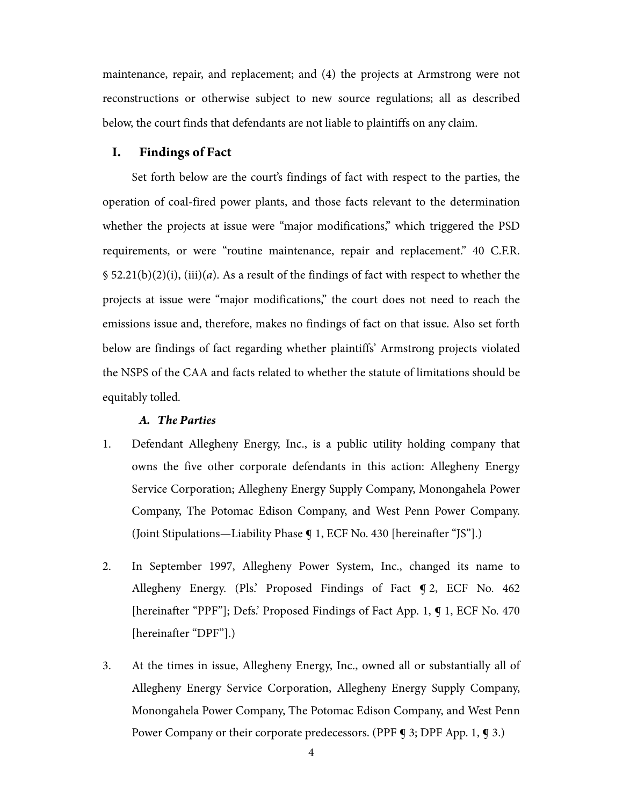maintenance, repair, and replacement; and (4) the projects at Armstrong were not reconstructions or otherwise subject to new source regulations; all as described below, the court finds that defendants are not liable to plaintiffs on any claim.

## **I. Findings of Fact**

Set forth below are the court's findings of fact with respect to the parties, the operation of coal-fired power plants, and those facts relevant to the determination whether the projects at issue were "major modifications," which triggered the PSD requirements, or were "routine maintenance, repair and replacement." 40 C.F.R.  $$ 52.21(b)(2)(i), (iii)(a)$ . As a result of the findings of fact with respect to whether the projects at issue were "major modifications," the court does not need to reach the emissions issue and, therefore, makes no findings of fact on that issue. Also set forth below are findings of fact regarding whether plaintiffs' Armstrong projects violated the NSPS of the CAA and facts related to whether the statute of limitations should be equitably tolled.

## *A. The Parties*

- 1. Defendant Allegheny Energy, Inc., is a public utility holding company that owns the five other corporate defendants in this action: Allegheny Energy Service Corporation; Allegheny Energy Supply Company, Monongahela Power Company, The Potomac Edison Company, and West Penn Power Company. (Joint Stipulations—Liability Phase ¶ 1, ECF No. 430 [hereinafter "JS"].)
- 2. In September 1997, Allegheny Power System, Inc., changed its name to Allegheny Energy. (Pls.' Proposed Findings of Fact ¶ 2, ECF No. 462 [hereinafter "PPF"]; Defs.' Proposed Findings of Fact App. 1, ¶ 1, ECF No. 470 [hereinafter "DPF"].)
- 3. At the times in issue, Allegheny Energy, Inc., owned all or substantially all of Allegheny Energy Service Corporation, Allegheny Energy Supply Company, Monongahela Power Company, The Potomac Edison Company, and West Penn Power Company or their corporate predecessors. (PPF  $\triangleleft$  3; DPF App. 1,  $\triangleleft$  3.)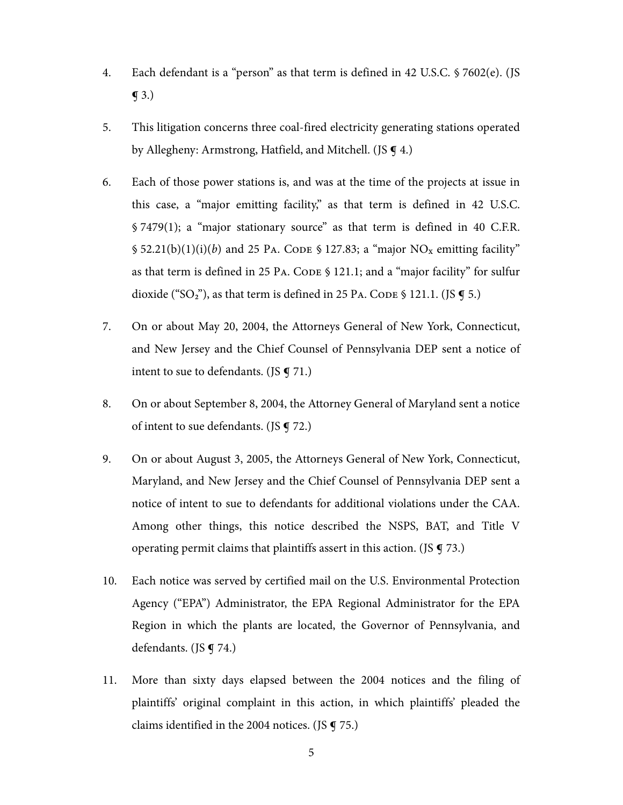- 4. Each defendant is a "person" as that term is defined in 42 U.S.C. § 7602(e). (JS  $\mathbf{\overline{9}}$  3.)
- 5. This litigation concerns three coal-fired electricity generating stations operated by Allegheny: Armstrong, Hatfield, and Mitchell. (JS **¶** 4.)
- 6. Each of those power stations is, and was at the time of the projects at issue in this case, a "major emitting facility," as that term is defined in 42 U.S.C. § 7479(1); a "major stationary source" as that term is defined in 40 C.F.R.  $\$ 52.21(b)(1)(i)(b)$  and 25 PA. CODE  $\$ 127.83$ ; a "major NO<sub>x</sub> emitting facility" as that term is defined in 25 PA. CODE § 121.1; and a "major facility" for sulfur dioxide ("SO<sub>2</sub>"), as that term is defined in 25 PA. CODE § 121.1. (JS  $\P$  5.)
- 7. On or about May 20, 2004, the Attorneys General of New York, Connecticut, and New Jersey and the Chief Counsel of Pennsylvania DEP sent a notice of intent to sue to defendants. (JS  $\P$  71.)
- 8. On or about September 8, 2004, the Attorney General of Maryland sent a notice of intent to sue defendants. (JS ¶ 72.)
- 9. On or about August 3, 2005, the Attorneys General of New York, Connecticut, Maryland, and New Jersey and the Chief Counsel of Pennsylvania DEP sent a notice of intent to sue to defendants for additional violations under the CAA. Among other things, this notice described the NSPS, BAT, and Title V operating permit claims that plaintiffs assert in this action. (JS  $\boldsymbol{q}$  73.)
- 10. Each notice was served by certified mail on the U.S. Environmental Protection Agency ("EPA") Administrator, the EPA Regional Administrator for the EPA Region in which the plants are located, the Governor of Pennsylvania, and defendants. (JS  $\P$  74.)
- 11. More than sixty days elapsed between the 2004 notices and the filing of plaintiffs' original complaint in this action, in which plaintiffs' pleaded the claims identified in the 2004 notices. (JS  $\boldsymbol{\mathsf{q}}$  75.)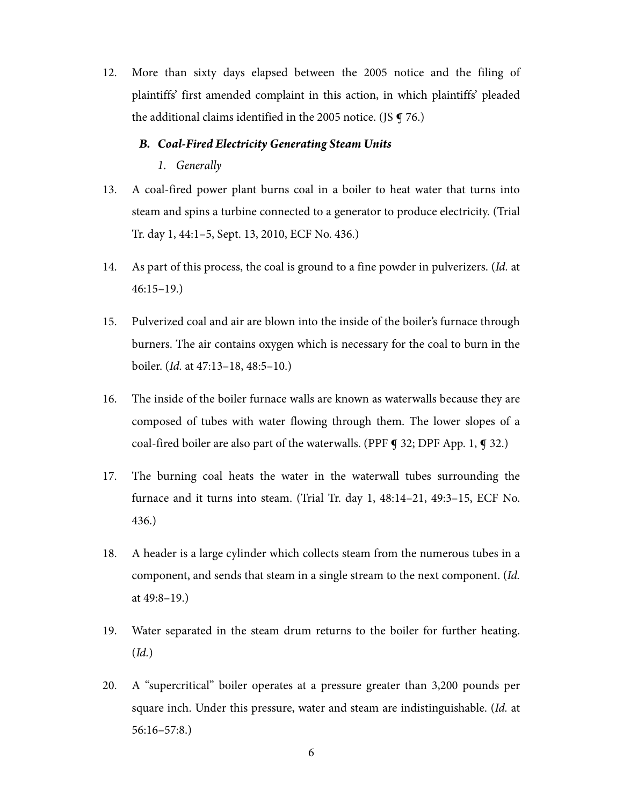12. More than sixty days elapsed between the 2005 notice and the filing of plaintiffs' first amended complaint in this action, in which plaintiffs' pleaded the additional claims identified in the 2005 notice. (JS **q** 76.)

#### *B. Coal-Fired Electricity Generating Steam Units*

*1. Generally* 

- 13. A coal-fired power plant burns coal in a boiler to heat water that turns into steam and spins a turbine connected to a generator to produce electricity. (Trial Tr. day 1, 44:1–5, Sept. 13, 2010, ECF No. 436.)
- 14. As part of this process, the coal is ground to a fine powder in pulverizers. (Id. at 46:15–19.)
- 15. Pulverized coal and air are blown into the inside of the boiler's furnace through burners. The air contains oxygen which is necessary for the coal to burn in the boiler. (Id. at 47:13–18, 48:5–10.)
- 16. The inside of the boiler furnace walls are known as waterwalls because they are composed of tubes with water flowing through them. The lower slopes of a coal-fired boiler are also part of the waterwalls. (PPF  $\bigcirc$  32; DPF App. 1,  $\bigcirc$  32.)
- 17. The burning coal heats the water in the waterwall tubes surrounding the furnace and it turns into steam. (Trial Tr. day 1, 48:14–21, 49:3–15, ECF No. 436.)
- 18. A header is a large cylinder which collects steam from the numerous tubes in a component, and sends that steam in a single stream to the next component. (Id. at 49:8–19.)
- 19. Water separated in the steam drum returns to the boiler for further heating. (Id.)
- 20. A "supercritical" boiler operates at a pressure greater than 3,200 pounds per square inch. Under this pressure, water and steam are indistinguishable. (Id. at 56:16–57:8.)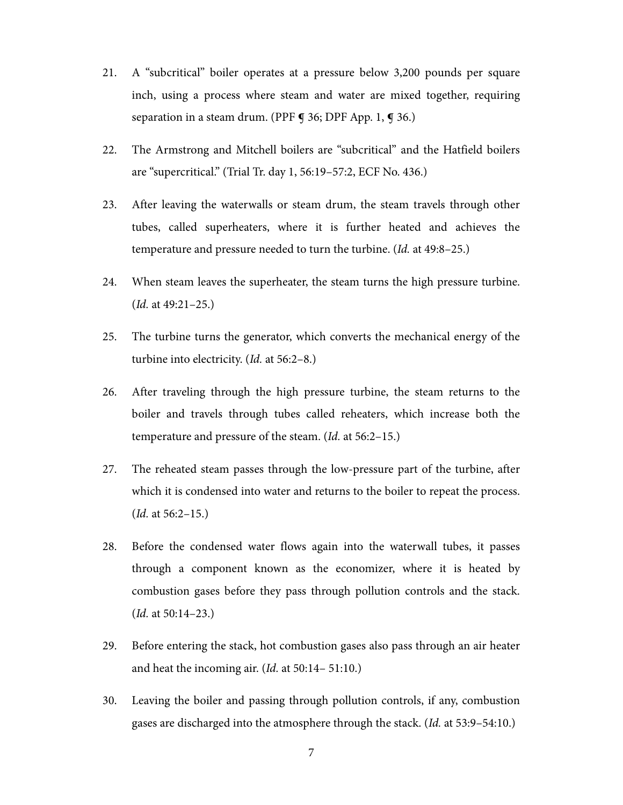- 21. A "subcritical" boiler operates at a pressure below 3,200 pounds per square inch, using a process where steam and water are mixed together, requiring separation in a steam drum. (PPF **¶** 36; DPF App. 1, **¶** 36.)
- 22. The Armstrong and Mitchell boilers are "subcritical" and the Hatfield boilers are "supercritical." (Trial Tr. day 1, 56:19–57:2, ECF No. 436.)
- 23. After leaving the waterwalls or steam drum, the steam travels through other tubes, called superheaters, where it is further heated and achieves the temperature and pressure needed to turn the turbine. (Id. at 49:8–25.)
- 24. When steam leaves the superheater, the steam turns the high pressure turbine. (Id. at 49:21–25.)
- 25. The turbine turns the generator, which converts the mechanical energy of the turbine into electricity. (Id. at 56:2–8.)
- 26. After traveling through the high pressure turbine, the steam returns to the boiler and travels through tubes called reheaters, which increase both the temperature and pressure of the steam. (Id. at 56:2–15.)
- 27. The reheated steam passes through the low-pressure part of the turbine, after which it is condensed into water and returns to the boiler to repeat the process. (Id. at 56:2–15.)
- 28. Before the condensed water flows again into the waterwall tubes, it passes through a component known as the economizer, where it is heated by combustion gases before they pass through pollution controls and the stack. (Id. at 50:14–23.)
- 29. Before entering the stack, hot combustion gases also pass through an air heater and heat the incoming air. (Id. at 50:14– 51:10.)
- 30. Leaving the boiler and passing through pollution controls, if any, combustion gases are discharged into the atmosphere through the stack. (Id. at 53:9–54:10.)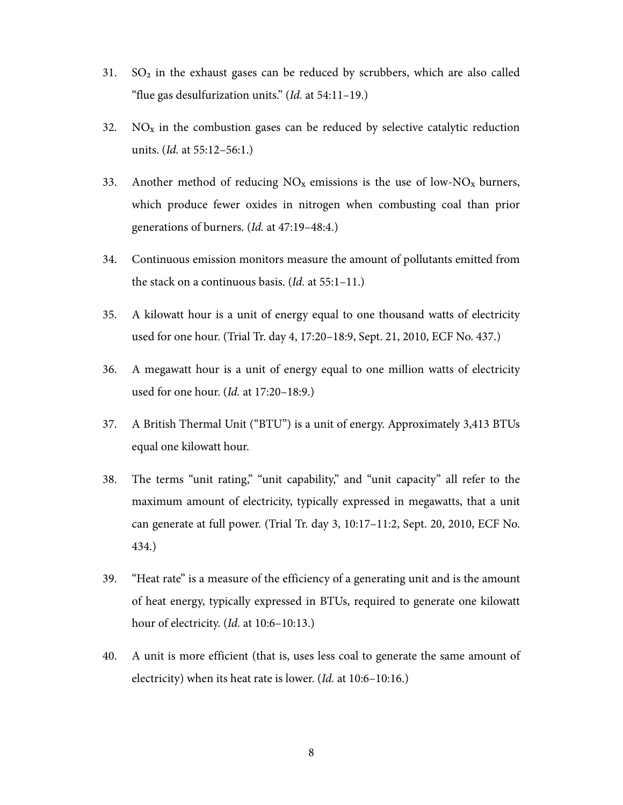- 31.  $SO<sub>2</sub>$  in the exhaust gases can be reduced by scrubbers, which are also called "flue gas desulfurization units."  $(Id.$  at  $54:11-19$ .)
- 32. NO<sub>x</sub> in the combustion gases can be reduced by selective catalytic reduction units. (Id. at 55:12–56:1.)
- 33. Another method of reducing  $NO<sub>x</sub>$  emissions is the use of low- $NO<sub>x</sub>$  burners, which produce fewer oxides in nitrogen when combusting coal than prior generations of burners. (Id. at 47:19–48:4.)
- 34. Continuous emission monitors measure the amount of pollutants emitted from the stack on a continuous basis. (Id. at 55:1-11.)
- 35. A kilowatt hour is a unit of energy equal to one thousand watts of electricity used for one hour. (Trial Tr. day 4, 17:20–18:9, Sept. 21, 2010, ECF No. 437.)
- 36. A megawatt hour is a unit of energy equal to one million watts of electricity used for one hour. (Id. at 17:20–18:9.)
- 37. A British Thermal Unit ("BTU") is a unit of energy. Approximately 3,413 BTUs equal one kilowatt hour.
- 38. The terms "unit rating," "unit capability," and "unit capacity" all refer to the maximum amount of electricity, typically expressed in megawatts, that a unit can generate at full power. (Trial Tr. day 3, 10:17–11:2, Sept. 20, 2010, ECF No. 434.)
- 39. "Heat rate" is a measure of the efficiency of a generating unit and is the amount of heat energy, typically expressed in BTUs, required to generate one kilowatt hour of electricity. (*Id.* at 10:6-10:13.)
- 40. A unit is more efficient (that is, uses less coal to generate the same amount of electricity) when its heat rate is lower. (Id. at 10:6–10:16.)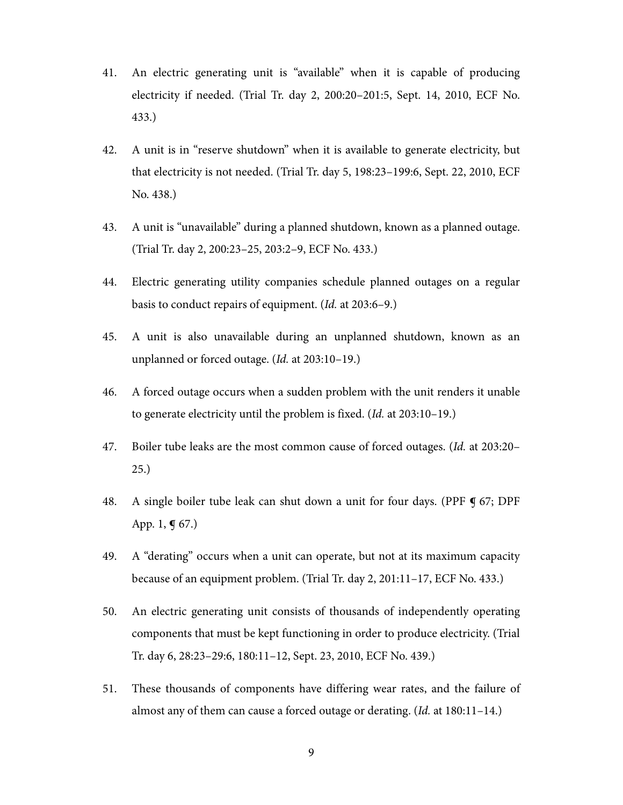- 41. An electric generating unit is "available" when it is capable of producing electricity if needed. (Trial Tr. day 2, 200:20–201:5, Sept. 14, 2010, ECF No. 433.)
- 42. A unit is in "reserve shutdown" when it is available to generate electricity, but that electricity is not needed. (Trial Tr. day 5, 198:23–199:6, Sept. 22, 2010, ECF No. 438.)
- 43. A unit is "unavailable" during a planned shutdown, known as a planned outage. (Trial Tr. day 2, 200:23–25, 203:2–9, ECF No. 433.)
- 44. Electric generating utility companies schedule planned outages on a regular basis to conduct repairs of equipment. (Id. at 203:6–9.)
- 45. A unit is also unavailable during an unplanned shutdown, known as an unplanned or forced outage. (Id. at 203:10–19.)
- 46. A forced outage occurs when a sudden problem with the unit renders it unable to generate electricity until the problem is fixed. (Id. at 203:10–19.)
- 47. Boiler tube leaks are the most common cause of forced outages. (Id. at 203:20– 25.)
- 48. A single boiler tube leak can shut down a unit for four days. (PPF ¶ 67; DPF App. 1,  $\P$  67.)
- 49. A "derating" occurs when a unit can operate, but not at its maximum capacity because of an equipment problem. (Trial Tr. day 2, 201:11–17, ECF No. 433.)
- 50. An electric generating unit consists of thousands of independently operating components that must be kept functioning in order to produce electricity. (Trial Tr. day 6, 28:23–29:6, 180:11–12, Sept. 23, 2010, ECF No. 439.)
- 51. These thousands of components have differing wear rates, and the failure of almost any of them can cause a forced outage or derating. (Id. at 180:11–14.)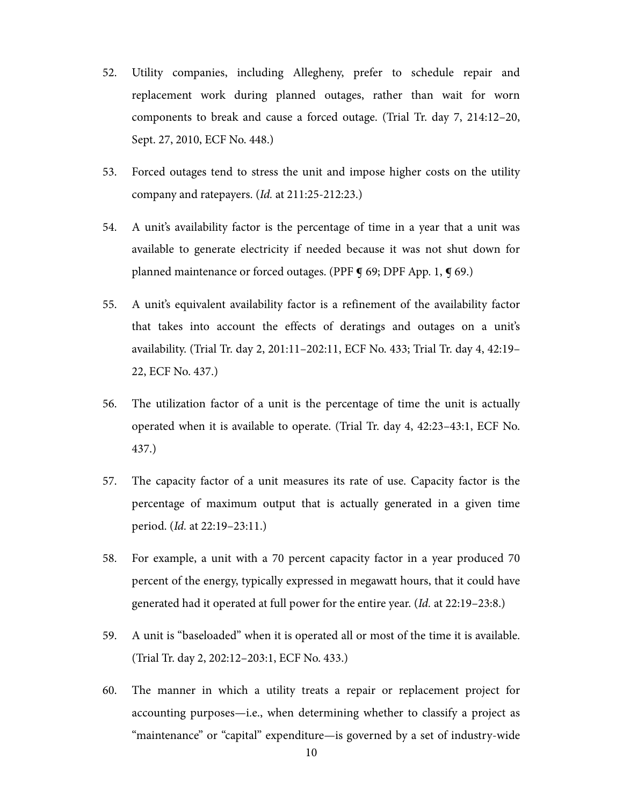- 52. Utility companies, including Allegheny, prefer to schedule repair and replacement work during planned outages, rather than wait for worn components to break and cause a forced outage. (Trial Tr. day 7, 214:12–20, Sept. 27, 2010, ECF No. 448.)
- 53. Forced outages tend to stress the unit and impose higher costs on the utility company and ratepayers. (Id. at 211:25-212:23.)
- 54. A unit's availability factor is the percentage of time in a year that a unit was available to generate electricity if needed because it was not shut down for planned maintenance or forced outages. (PPF  $\mathbf{\mathcal{q}}$  69; DPF App. 1,  $\mathbf{\mathcal{q}}$  69.)
- 55. A unit's equivalent availability factor is a refinement of the availability factor that takes into account the effects of deratings and outages on a unit's availability. (Trial Tr. day 2, 201:11–202:11, ECF No. 433; Trial Tr. day 4, 42:19– 22, ECF No. 437.)
- 56. The utilization factor of a unit is the percentage of time the unit is actually operated when it is available to operate. (Trial Tr. day 4, 42:23–43:1, ECF No. 437.)
- 57. The capacity factor of a unit measures its rate of use. Capacity factor is the percentage of maximum output that is actually generated in a given time period. (Id. at 22:19–23:11.)
- 58. For example, a unit with a 70 percent capacity factor in a year produced 70 percent of the energy, typically expressed in megawatt hours, that it could have generated had it operated at full power for the entire year. (Id. at 22:19–23:8.)
- 59. A unit is "baseloaded" when it is operated all or most of the time it is available. (Trial Tr. day 2, 202:12–203:1, ECF No. 433.)
- 60. The manner in which a utility treats a repair or replacement project for accounting purposes—i.e., when determining whether to classify a project as "maintenance" or "capital" expenditure—is governed by a set of industry-wide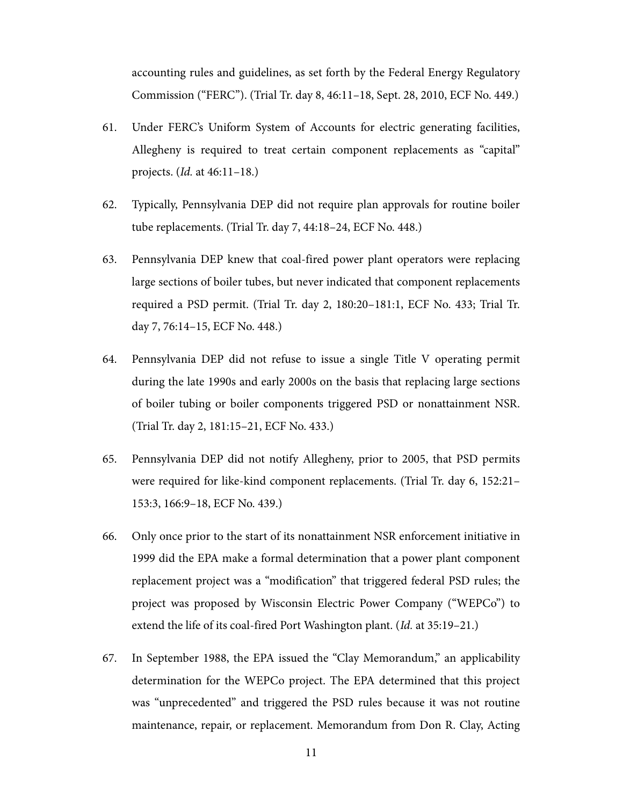accounting rules and guidelines, as set forth by the Federal Energy Regulatory Commission ("FERC"). (Trial Tr. day 8, 46:11–18, Sept. 28, 2010, ECF No. 449.)

- 61. Under FERC's Uniform System of Accounts for electric generating facilities, Allegheny is required to treat certain component replacements as "capital" projects. (Id. at 46:11–18.)
- 62. Typically, Pennsylvania DEP did not require plan approvals for routine boiler tube replacements. (Trial Tr. day 7, 44:18–24, ECF No. 448.)
- 63. Pennsylvania DEP knew that coal-fired power plant operators were replacing large sections of boiler tubes, but never indicated that component replacements required a PSD permit. (Trial Tr. day 2, 180:20–181:1, ECF No. 433; Trial Tr. day 7, 76:14–15, ECF No. 448.)
- 64. Pennsylvania DEP did not refuse to issue a single Title V operating permit during the late 1990s and early 2000s on the basis that replacing large sections of boiler tubing or boiler components triggered PSD or nonattainment NSR. (Trial Tr. day 2, 181:15–21, ECF No. 433.)
- 65. Pennsylvania DEP did not notify Allegheny, prior to 2005, that PSD permits were required for like-kind component replacements. (Trial Tr. day 6, 152:21– 153:3, 166:9–18, ECF No. 439.)
- 66. Only once prior to the start of its nonattainment NSR enforcement initiative in 1999 did the EPA make a formal determination that a power plant component replacement project was a "modification" that triggered federal PSD rules; the project was proposed by Wisconsin Electric Power Company ("WEPCo") to extend the life of its coal-fired Port Washington plant. (Id. at 35:19–21.)
- 67. In September 1988, the EPA issued the "Clay Memorandum," an applicability determination for the WEPCo project. The EPA determined that this project was "unprecedented" and triggered the PSD rules because it was not routine maintenance, repair, or replacement. Memorandum from Don R. Clay, Acting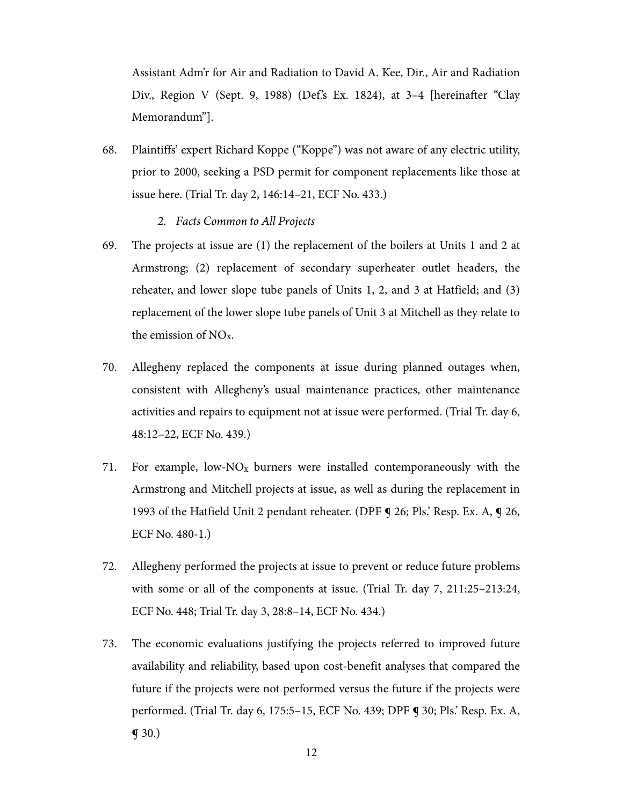Assistant Adm'r for Air and Radiation to David A. Kee, Dir., Air and Radiation Div., Region V (Sept. 9, 1988) (Def.'s Ex. 1824), at 3-4 [hereinafter "Clay Memorandum"].

68. Plaintiffs' expert Richard Koppe ("Koppe") was not aware of any electric utility, prior to 2000, seeking a PSD permit for component replacements like those at issue here. (Trial Tr. day 2, 146:14–21, ECF No. 433.)

## *2. Facts Common to All Projects*

- 69. The projects at issue are (1) the replacement of the boilers at Units 1 and 2 at Armstrong; (2) replacement of secondary superheater outlet headers, the reheater, and lower slope tube panels of Units 1, 2, and 3 at Hatfield; and (3) replacement of the lower slope tube panels of Unit 3 at Mitchell as they relate to the emission of NOx.
- 70. Allegheny replaced the components at issue during planned outages when, consistent with Allegheny's usual maintenance practices, other maintenance activities and repairs to equipment not at issue were performed. (Trial Tr. day 6, 48:12–22, ECF No. 439.)
- 71. For example, low- $NO<sub>x</sub>$  burners were installed contemporaneously with the Armstrong and Mitchell projects at issue, as well as during the replacement in 1993 of the Hatfield Unit 2 pendant reheater. (DPF  $\P$  26; Pls.' Resp. Ex. A,  $\P$  26, ECF No. 480-1.)
- 72. Allegheny performed the projects at issue to prevent or reduce future problems with some or all of the components at issue. (Trial Tr. day 7, 211:25–213:24, ECF No. 448; Trial Tr. day 3, 28:8–14, ECF No. 434.)
- 73. The economic evaluations justifying the projects referred to improved future availability and reliability, based upon cost-benefit analyses that compared the future if the projects were not performed versus the future if the projects were performed. (Trial Tr. day 6, 175:5–15, ECF No. 439; DPF ¶ 30; Pls.' Resp. Ex. A,  $\P(30.)$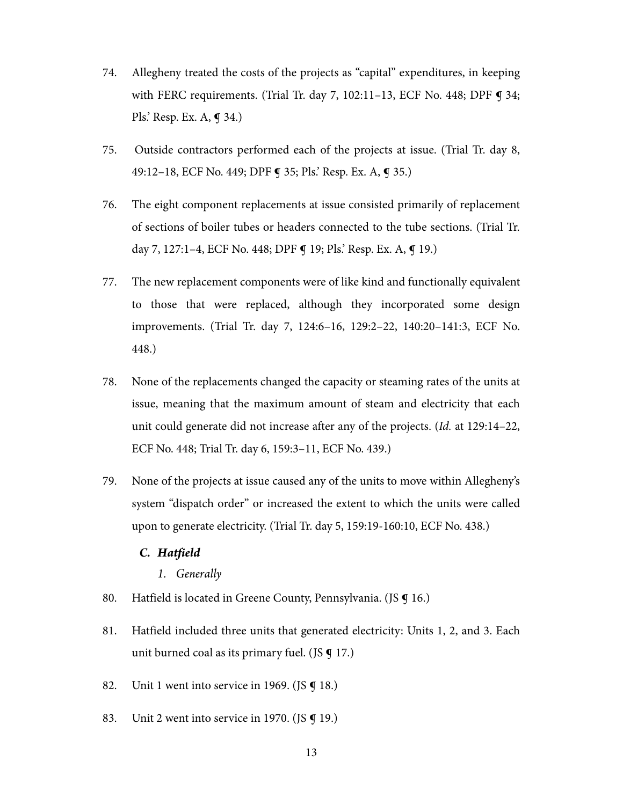- 74. Allegheny treated the costs of the projects as "capital" expenditures, in keeping with FERC requirements. (Trial Tr. day 7, 102:11-13, ECF No. 448; DPF **9** 34; Pls.' Resp. Ex. A, ¶ 34.)
- 75. Outside contractors performed each of the projects at issue. (Trial Tr. day 8, 49:12–18, ECF No. 449; DPF ¶ 35; Pls.' Resp. Ex. A, ¶ 35.)
- 76. The eight component replacements at issue consisted primarily of replacement of sections of boiler tubes or headers connected to the tube sections. (Trial Tr. day 7, 127:1–4, ECF No. 448; DPF **¶** 19; Pls.' Resp. Ex. A, **¶** 19.)
- 77. The new replacement components were of like kind and functionally equivalent to those that were replaced, although they incorporated some design improvements. (Trial Tr. day 7, 124:6–16, 129:2–22, 140:20–141:3, ECF No. 448.)
- 78. None of the replacements changed the capacity or steaming rates of the units at issue, meaning that the maximum amount of steam and electricity that each unit could generate did not increase after any of the projects. (Id. at 129:14–22, ECF No. 448; Trial Tr. day 6, 159:3–11, ECF No. 439.)
- 79. None of the projects at issue caused any of the units to move within Allegheny's system "dispatch order" or increased the extent to which the units were called upon to generate electricity. (Trial Tr. day 5, 159:19-160:10, ECF No. 438.)

## *C. Hatfield*

- *1. Generally*
- 80. Hatfield is located in Greene County, Pennsylvania. (JS **¶** 16.)
- 81. Hatfield included three units that generated electricity: Units 1, 2, and 3. Each unit burned coal as its primary fuel. (JS  $\mathbf{\mathfrak{g}}$  17.)
- 82. Unit 1 went into service in 1969. (JS  $\boldsymbol{\mathsf{q}}$  18.)
- 83. Unit 2 went into service in 1970. (JS **q** 19.)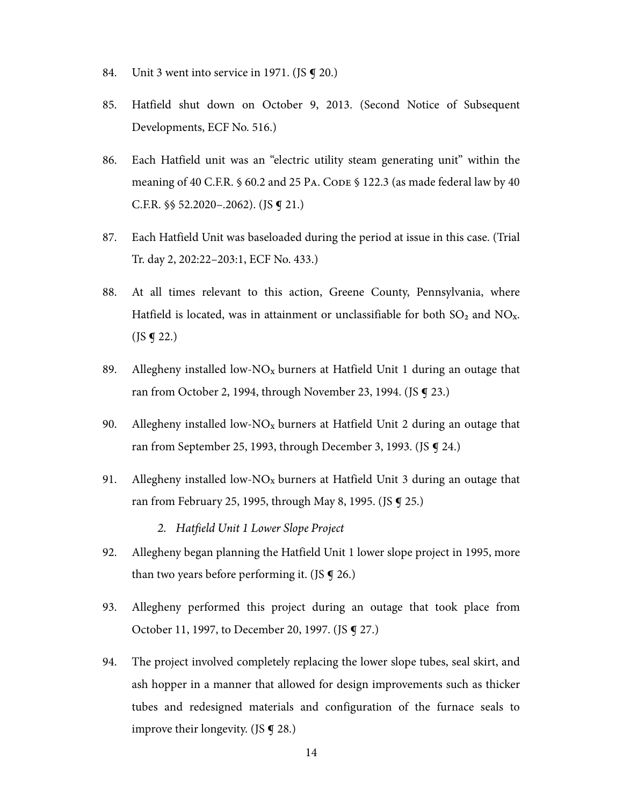- 84. Unit 3 went into service in 1971. (JS  $\boldsymbol{\mathsf{q}}$  20.)
- 85. Hatfield shut down on October 9, 2013. (Second Notice of Subsequent Developments, ECF No. 516.)
- 86. Each Hatfield unit was an "electric utility steam generating unit" within the meaning of 40 C.F.R. § 60.2 and 25 PA. CODE § 122.3 (as made federal law by 40 C.F.R. §§ 52.2020–.2062). (JS ¶ 21.)
- 87. Each Hatfield Unit was baseloaded during the period at issue in this case. (Trial Tr. day 2, 202:22–203:1, ECF No. 433.)
- 88. At all times relevant to this action, Greene County, Pennsylvania, where Hatfield is located, was in attainment or unclassifiable for both  $SO_2$  and  $NO_x$ .  $($  JS  $\bm{\mathsf{q}}$  22.)
- 89. Allegheny installed low-NO<sub>x</sub> burners at Hatfield Unit 1 during an outage that ran from October 2, 1994, through November 23, 1994. (JS ¶ 23.)
- 90. Allegheny installed low-NO<sub>x</sub> burners at Hatfield Unit 2 during an outage that ran from September 25, 1993, through December 3, 1993. (JS § 24.)
- 91. Allegheny installed low-NO<sub>x</sub> burners at Hatfield Unit 3 during an outage that ran from February 25, 1995, through May 8, 1995. (JS ¶ 25.)
	- *2. Hatfield Unit 1 Lower Slope Project*
- 92. Allegheny began planning the Hatfield Unit 1 lower slope project in 1995, more than two years before performing it. (JS  $\mathbf{\overline{q}}$  26.)
- 93. Allegheny performed this project during an outage that took place from October 11, 1997, to December 20, 1997. (JS ¶ 27.)
- 94. The project involved completely replacing the lower slope tubes, seal skirt, and ash hopper in a manner that allowed for design improvements such as thicker tubes and redesigned materials and configuration of the furnace seals to improve their longevity. (JS  $\boldsymbol{\mathsf{g}}$  28.)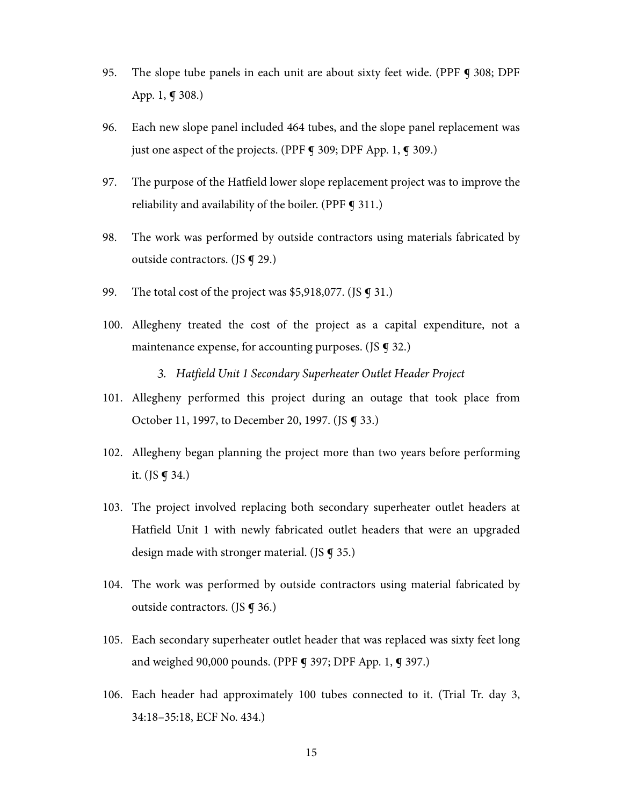- 95. The slope tube panels in each unit are about sixty feet wide. (PPF ¶ 308; DPF App. 1, ¶ 308.)
- 96. Each new slope panel included 464 tubes, and the slope panel replacement was just one aspect of the projects. (PPF  $\bigcirc$  309; DPF App. 1,  $\bigcirc$  309.)
- 97. The purpose of the Hatfield lower slope replacement project was to improve the reliability and availability of the boiler. (PPF  $\bigcirc$  311.)
- 98. The work was performed by outside contractors using materials fabricated by outside contractors. (JS ¶ 29.)
- 99. The total cost of the project was \$5,918,077. (JS **q** 31.)
- 100. Allegheny treated the cost of the project as a capital expenditure, not a maintenance expense, for accounting purposes. (JS  $\boldsymbol{\mathsf{q}}$  32.)

*3. Hatfield Unit 1 Secondary Superheater Outlet Header Project* 

- 101. Allegheny performed this project during an outage that took place from October 11, 1997, to December 20, 1997. (JS ¶ 33.)
- 102. Allegheny began planning the project more than two years before performing it. (JS  $\P$  34.)
- 103. The project involved replacing both secondary superheater outlet headers at Hatfield Unit 1 with newly fabricated outlet headers that were an upgraded design made with stronger material. (JS  $\boldsymbol{q}$  35.)
- 104. The work was performed by outside contractors using material fabricated by outside contractors. (JS ¶ 36.)
- 105. Each secondary superheater outlet header that was replaced was sixty feet long and weighed 90,000 pounds. (PPF **g** 397; DPF App. 1, **g** 397.)
- 106. Each header had approximately 100 tubes connected to it. (Trial Tr. day 3, 34:18–35:18, ECF No. 434.)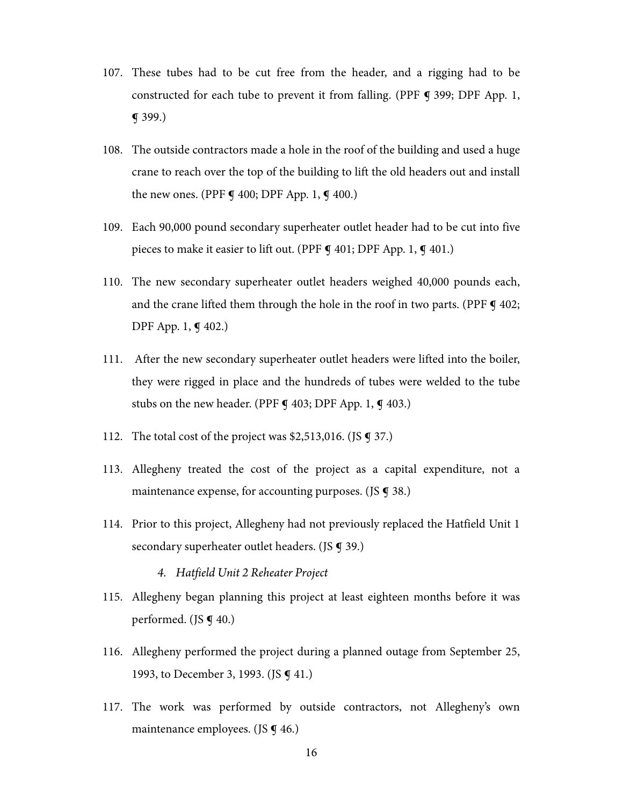- 107. These tubes had to be cut free from the header, and a rigging had to be constructed for each tube to prevent it from falling. (PPF § 399; DPF App. 1, ¶ 399.)
- 108. The outside contractors made a hole in the roof of the building and used a huge crane to reach over the top of the building to lift the old headers out and install the new ones. (PPF  $\boldsymbol{\mathsf{q}}$  400; DPF App. 1,  $\boldsymbol{\mathsf{q}}$  400.)
- 109. Each 90,000 pound secondary superheater outlet header had to be cut into five pieces to make it easier to lift out. (PPF **¶** 401; DPF App. 1, **¶** 401.)
- 110. The new secondary superheater outlet headers weighed 40,000 pounds each, and the crane lifted them through the hole in the roof in two parts. (PPF  $\P$  402; DPF App. 1, ¶ 402.)
- 111. After the new secondary superheater outlet headers were lifted into the boiler, they were rigged in place and the hundreds of tubes were welded to the tube stubs on the new header. (PPF **¶** 403; DPF App. 1, **¶** 403.)
- 112. The total cost of the project was \$2,513,016. (JS **g** 37.)
- 113. Allegheny treated the cost of the project as a capital expenditure, not a maintenance expense, for accounting purposes. (JS **¶** 38.)
- 114. Prior to this project, Allegheny had not previously replaced the Hatfield Unit 1 secondary superheater outlet headers. (JS **g** 39.)
	- *4. Hatfield Unit 2 Reheater Project*
- 115. Allegheny began planning this project at least eighteen months before it was performed. (JS **g** 40.)
- 116. Allegheny performed the project during a planned outage from September 25, 1993, to December 3, 1993. (JS **q** 41.)
- 117. The work was performed by outside contractors, not Allegheny's own maintenance employees. (JS **g** 46.)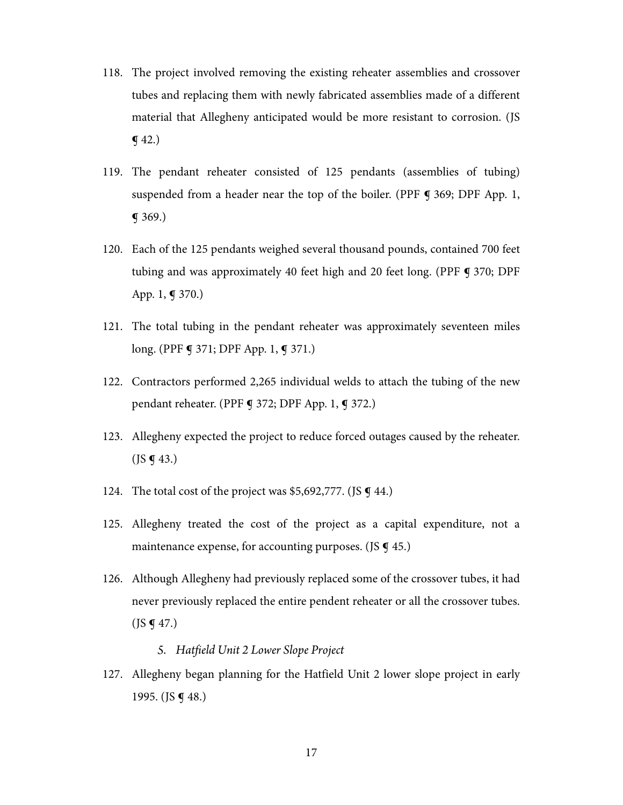- 118. The project involved removing the existing reheater assemblies and crossover tubes and replacing them with newly fabricated assemblies made of a different material that Allegheny anticipated would be more resistant to corrosion. (JS  $\P$  42.)
- 119. The pendant reheater consisted of 125 pendants (assemblies of tubing) suspended from a header near the top of the boiler. (PPF  $\P$  369; DPF App. 1, ¶ 369.)
- 120. Each of the 125 pendants weighed several thousand pounds, contained 700 feet tubing and was approximately 40 feet high and 20 feet long. (PPF **¶** 370; DPF App. 1, ¶ 370.)
- 121. The total tubing in the pendant reheater was approximately seventeen miles long. (PPF **q** 371; DPF App. 1, **q** 371.)
- 122. Contractors performed 2,265 individual welds to attach the tubing of the new pendant reheater. (PPF ¶ 372; DPF App. 1, ¶ 372.)
- 123. Allegheny expected the project to reduce forced outages caused by the reheater.  $($ JS  $\P$  43.)
- 124. The total cost of the project was \$5,692,777. (JS  $\boldsymbol{q}$  44.)
- 125. Allegheny treated the cost of the project as a capital expenditure, not a maintenance expense, for accounting purposes. (JS  $\boldsymbol{\mathsf{q}}$  45.)
- 126. Although Allegheny had previously replaced some of the crossover tubes, it had never previously replaced the entire pendent reheater or all the crossover tubes.  $($ JS  $\P$  47.)

## *5. Hatfield Unit 2 Lower Slope Project*

127. Allegheny began planning for the Hatfield Unit 2 lower slope project in early 1995. (JS ¶ 48.)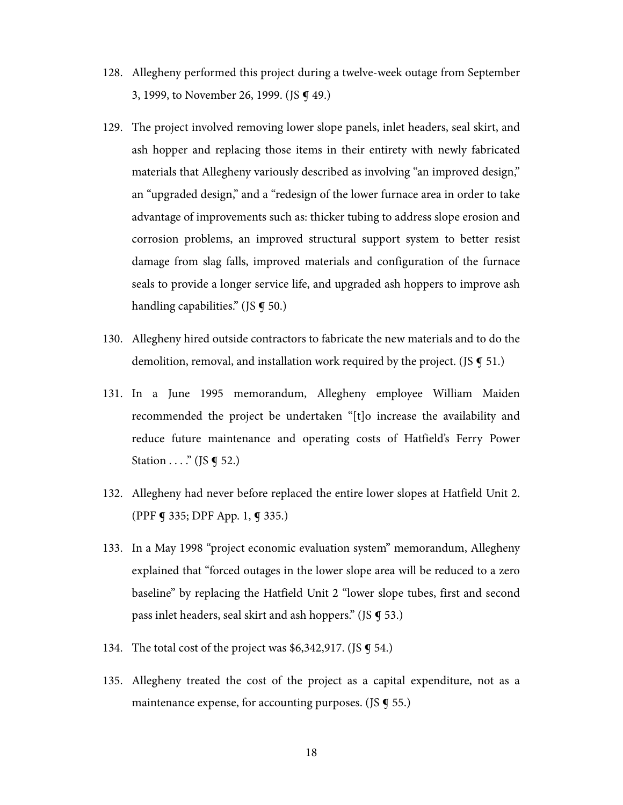- 128. Allegheny performed this project during a twelve-week outage from September 3, 1999, to November 26, 1999. (JS ¶ 49.)
- 129. The project involved removing lower slope panels, inlet headers, seal skirt, and ash hopper and replacing those items in their entirety with newly fabricated materials that Allegheny variously described as involving "an improved design," an "upgraded design," and a "redesign of the lower furnace area in order to take advantage of improvements such as: thicker tubing to address slope erosion and corrosion problems, an improved structural support system to better resist damage from slag falls, improved materials and configuration of the furnace seals to provide a longer service life, and upgraded ash hoppers to improve ash handling capabilities." (JS  $\boldsymbol{\varsigma}$  50.)
- 130. Allegheny hired outside contractors to fabricate the new materials and to do the demolition, removal, and installation work required by the project. (JS  $\boldsymbol{\mathsf{q}}$  51.)
- 131. In a June 1995 memorandum, Allegheny employee William Maiden recommended the project be undertaken "[t]o increase the availability and reduce future maintenance and operating costs of Hatfield's Ferry Power Station . . . . " (JS **g** 52.)
- 132. Allegheny had never before replaced the entire lower slopes at Hatfield Unit 2. (PPF ¶ 335; DPF App. 1, ¶ 335.)
- 133. In a May 1998 "project economic evaluation system" memorandum, Allegheny explained that "forced outages in the lower slope area will be reduced to a zero baseline" by replacing the Hatfield Unit 2 "lower slope tubes, first and second pass inlet headers, seal skirt and ash hoppers." (JS ¶ 53.)
- 134. The total cost of the project was \$6,342,917. (JS § 54.)
- 135. Allegheny treated the cost of the project as a capital expenditure, not as a maintenance expense, for accounting purposes. (JS  $\boldsymbol{q}$  55.)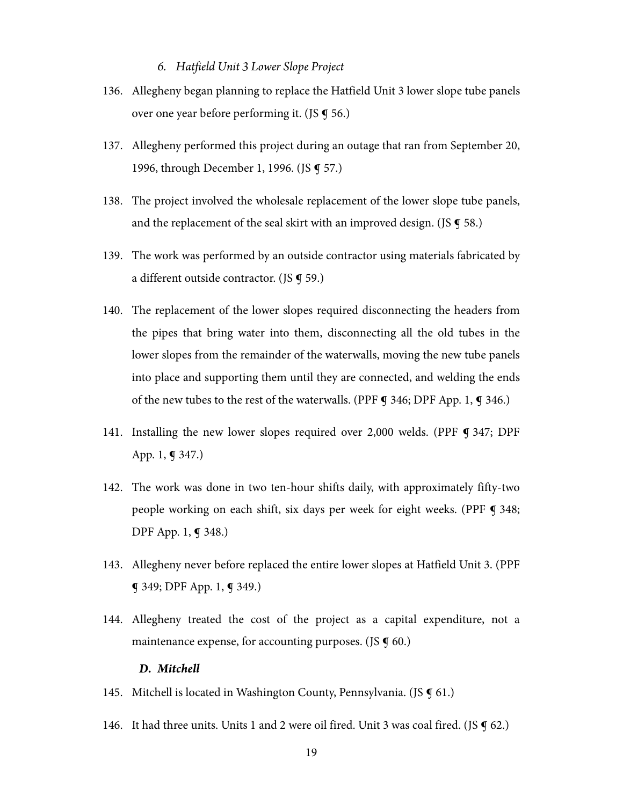#### *6. Hatfield Unit 3 Lower Slope Project*

- 136. Allegheny began planning to replace the Hatfield Unit 3 lower slope tube panels over one year before performing it. (JS ¶ 56.)
- 137. Allegheny performed this project during an outage that ran from September 20, 1996, through December 1, 1996. (JS **g** 57.)
- 138. The project involved the wholesale replacement of the lower slope tube panels, and the replacement of the seal skirt with an improved design. (JS  $\boldsymbol{q}$  58.)
- 139. The work was performed by an outside contractor using materials fabricated by a different outside contractor. (JS **g** 59.)
- 140. The replacement of the lower slopes required disconnecting the headers from the pipes that bring water into them, disconnecting all the old tubes in the lower slopes from the remainder of the waterwalls, moving the new tube panels into place and supporting them until they are connected, and welding the ends of the new tubes to the rest of the waterwalls. (PPF  $\mathbf{\mathbf{y}}$  346; DPF App. 1,  $\mathbf{\mathbf{y}}$  346.)
- 141. Installing the new lower slopes required over 2,000 welds. (PPF ¶ 347; DPF App. 1, ¶ 347.)
- 142. The work was done in two ten-hour shifts daily, with approximately fifty-two people working on each shift, six days per week for eight weeks. (PPF ¶ 348; DPF App. 1, ¶ 348.)
- 143. Allegheny never before replaced the entire lower slopes at Hatfield Unit 3. (PPF ¶ 349; DPF App. 1, ¶ 349.)
- 144. Allegheny treated the cost of the project as a capital expenditure, not a maintenance expense, for accounting purposes. (JS  $\boldsymbol{\mathsf{g}}$  60.)

#### *D. Mitchell*

- 145. Mitchell is located in Washington County, Pennsylvania. (JS **9** 61.)
- 146. It had three units. Units 1 and 2 were oil fired. Unit 3 was coal fired. (JS  $\boldsymbol{q}$  62.)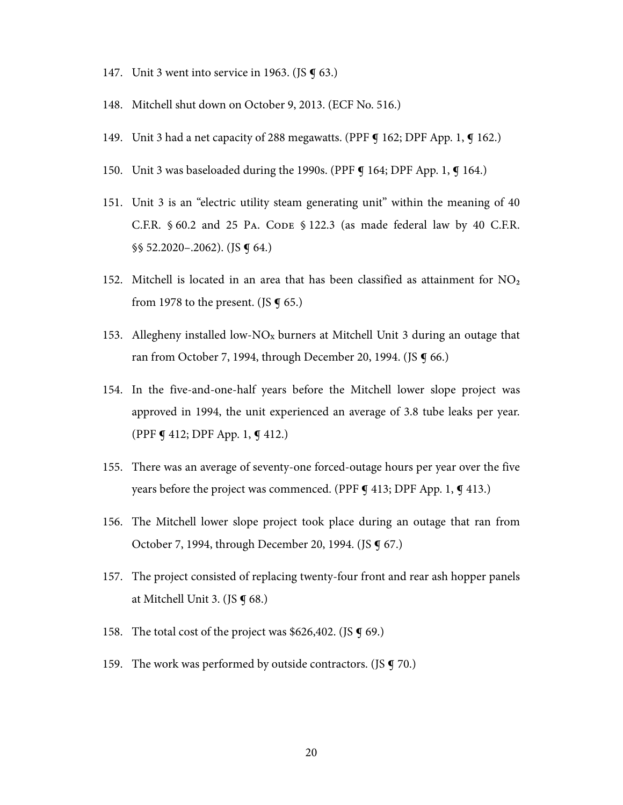- 147. Unit 3 went into service in 1963. (JS  $\boldsymbol{\mathsf{q}}$  63.)
- 148. Mitchell shut down on October 9, 2013. (ECF No. 516.)
- 149. Unit 3 had a net capacity of 288 megawatts. (PPF ¶ 162; DPF App. 1, ¶ 162.)
- 150. Unit 3 was baseloaded during the 1990s. (PPF **¶** 164; DPF App. 1, **¶** 164.)
- 151. Unit 3 is an "electric utility steam generating unit" within the meaning of 40 C.F.R. § 60.2 and 25 PA. CODE § 122.3 (as made federal law by 40 C.F.R. §§ 52.2020–.2062). (JS ¶ 64.)
- 152. Mitchell is located in an area that has been classified as attainment for  $NO<sub>2</sub>$ from 1978 to the present. (JS  $\boldsymbol{\mathsf{g}}$  65.)
- 153. Allegheny installed low-NO<sub>x</sub> burners at Mitchell Unit 3 during an outage that ran from October 7, 1994, through December 20, 1994. (JS **¶** 66.)
- 154. In the five-and-one-half years before the Mitchell lower slope project was approved in 1994, the unit experienced an average of 3.8 tube leaks per year. (PPF ¶ 412; DPF App. 1, ¶ 412.)
- 155. There was an average of seventy-one forced-outage hours per year over the five years before the project was commenced. (PPF **g** 413; DPF App. 1, **g** 413.)
- 156. The Mitchell lower slope project took place during an outage that ran from October 7, 1994, through December 20, 1994. (JS **q** 67.)
- 157. The project consisted of replacing twenty-four front and rear ash hopper panels at Mitchell Unit 3. (JS ¶ 68.)
- 158. The total cost of the project was \$626,402. (JS  $\boldsymbol{\mathsf{g}}$  69.)
- 159. The work was performed by outside contractors. (JS **q** 70.)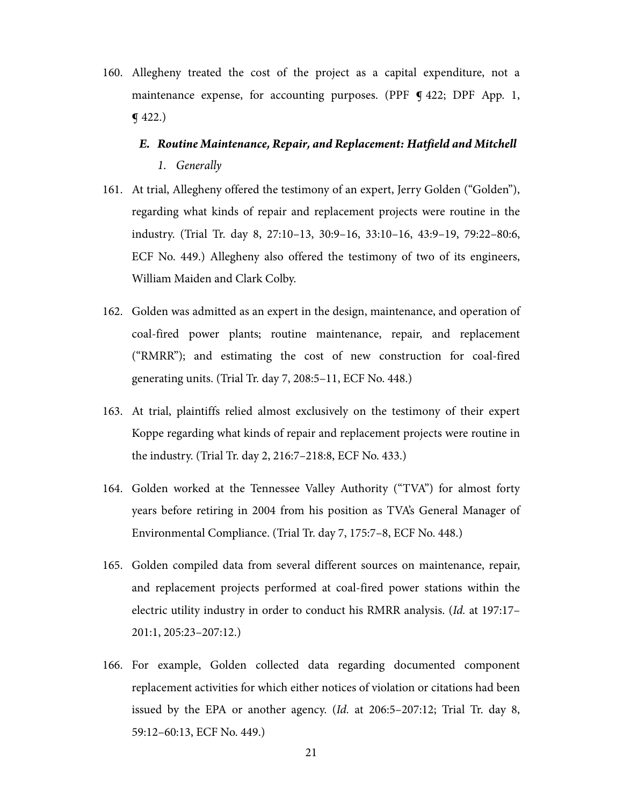160. Allegheny treated the cost of the project as a capital expenditure, not a maintenance expense, for accounting purposes. (PPF  $\bigcirc$  422; DPF App. 1, ¶ 422.)

# *E. Routine Maintenance, Repair, and Replacement: Hatfield and Mitchell 1. Generally*

- 161. At trial, Allegheny offered the testimony of an expert, Jerry Golden ("Golden"), regarding what kinds of repair and replacement projects were routine in the industry. (Trial Tr. day 8, 27:10–13, 30:9–16, 33:10–16, 43:9–19, 79:22–80:6, ECF No. 449.) Allegheny also offered the testimony of two of its engineers, William Maiden and Clark Colby.
- 162. Golden was admitted as an expert in the design, maintenance, and operation of coal-fired power plants; routine maintenance, repair, and replacement ("RMRR"); and estimating the cost of new construction for coal-fired generating units. (Trial Tr. day 7, 208:5–11, ECF No. 448.)
- 163. At trial, plaintiffs relied almost exclusively on the testimony of their expert Koppe regarding what kinds of repair and replacement projects were routine in the industry. (Trial Tr. day 2, 216:7–218:8, ECF No. 433.)
- 164. Golden worked at the Tennessee Valley Authority ("TVA") for almost forty years before retiring in 2004 from his position as TVA's General Manager of Environmental Compliance. (Trial Tr. day 7, 175:7–8, ECF No. 448.)
- 165. Golden compiled data from several different sources on maintenance, repair, and replacement projects performed at coal-fired power stations within the electric utility industry in order to conduct his RMRR analysis. (Id. at 197:17– 201:1, 205:23–207:12.)
- 166. For example, Golden collected data regarding documented component replacement activities for which either notices of violation or citations had been issued by the EPA or another agency. (Id. at 206:5–207:12; Trial Tr. day 8, 59:12–60:13, ECF No. 449.)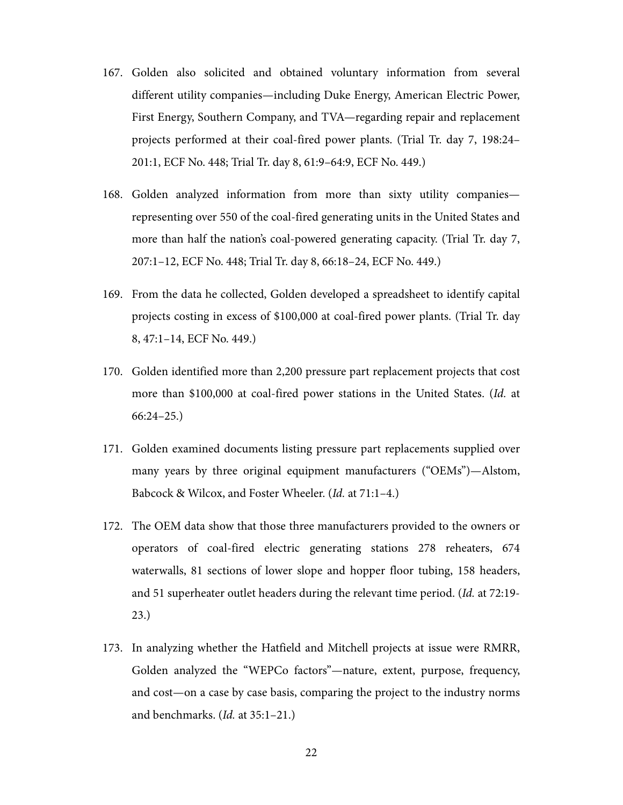- 167. Golden also solicited and obtained voluntary information from several different utility companies—including Duke Energy, American Electric Power, First Energy, Southern Company, and TVA—regarding repair and replacement projects performed at their coal-fired power plants. (Trial Tr. day 7, 198:24– 201:1, ECF No. 448; Trial Tr. day 8, 61:9–64:9, ECF No. 449.)
- 168. Golden analyzed information from more than sixty utility companies representing over 550 of the coal-fired generating units in the United States and more than half the nation's coal-powered generating capacity. (Trial Tr. day 7, 207:1–12, ECF No. 448; Trial Tr. day 8, 66:18–24, ECF No. 449.)
- 169. From the data he collected, Golden developed a spreadsheet to identify capital projects costing in excess of \$100,000 at coal-fired power plants. (Trial Tr. day 8, 47:1–14, ECF No. 449.)
- 170. Golden identified more than 2,200 pressure part replacement projects that cost more than \$100,000 at coal-fired power stations in the United States. (Id. at 66:24–25.)
- 171. Golden examined documents listing pressure part replacements supplied over many years by three original equipment manufacturers ("OEMs")—Alstom, Babcock & Wilcox, and Foster Wheeler. (Id. at 71:1–4.)
- 172. The OEM data show that those three manufacturers provided to the owners or operators of coal-fired electric generating stations 278 reheaters, 674 waterwalls, 81 sections of lower slope and hopper floor tubing, 158 headers, and 51 superheater outlet headers during the relevant time period. (Id. at 72:19- 23.)
- 173. In analyzing whether the Hatfield and Mitchell projects at issue were RMRR, Golden analyzed the "WEPCo factors"—nature, extent, purpose, frequency, and cost—on a case by case basis, comparing the project to the industry norms and benchmarks. (Id. at 35:1–21.)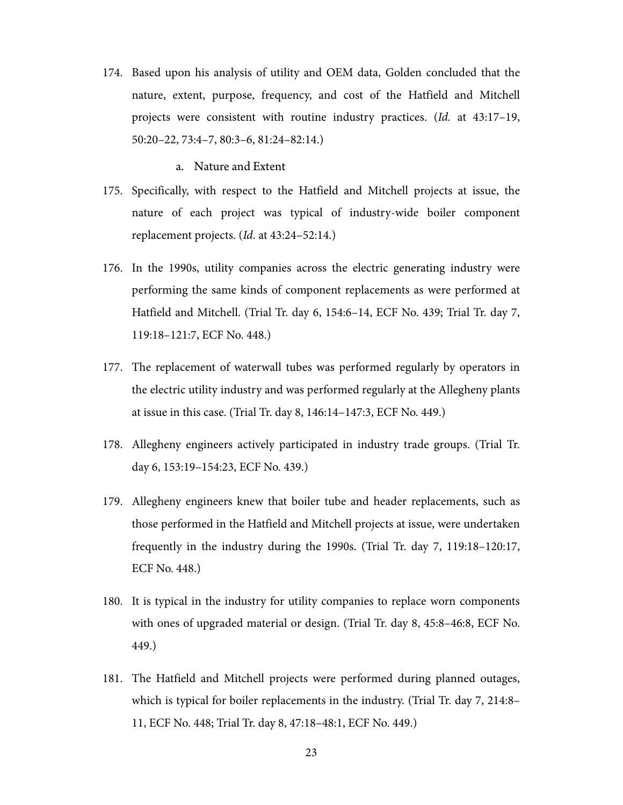174. Based upon his analysis of utility and OEM data, Golden concluded that the nature, extent, purpose, frequency, and cost of the Hatfield and Mitchell projects were consistent with routine industry practices. (Id. at 43:17–19, 50:20–22, 73:4–7, 80:3–6, 81:24–82:14.)

#### a. Nature and Extent

- 175. Specifically, with respect to the Hatfield and Mitchell projects at issue, the nature of each project was typical of industry-wide boiler component replacement projects. (Id. at 43:24–52:14.)
- 176. In the 1990s, utility companies across the electric generating industry were performing the same kinds of component replacements as were performed at Hatfield and Mitchell. (Trial Tr. day 6, 154:6–14, ECF No. 439; Trial Tr. day 7, 119:18–121:7, ECF No. 448.)
- 177. The replacement of waterwall tubes was performed regularly by operators in the electric utility industry and was performed regularly at the Allegheny plants at issue in this case. (Trial Tr. day 8, 146:14–147:3, ECF No. 449.)
- 178. Allegheny engineers actively participated in industry trade groups. (Trial Tr. day 6, 153:19–154:23, ECF No. 439.)
- 179. Allegheny engineers knew that boiler tube and header replacements, such as those performed in the Hatfield and Mitchell projects at issue, were undertaken frequently in the industry during the 1990s. (Trial Tr. day 7, 119:18–120:17, ECF No. 448.)
- 180. It is typical in the industry for utility companies to replace worn components with ones of upgraded material or design. (Trial Tr. day 8, 45:8–46:8, ECF No. 449.)
- 181. The Hatfield and Mitchell projects were performed during planned outages, which is typical for boiler replacements in the industry. (Trial Tr. day 7, 214:8– 11, ECF No. 448; Trial Tr. day 8, 47:18–48:1, ECF No. 449.)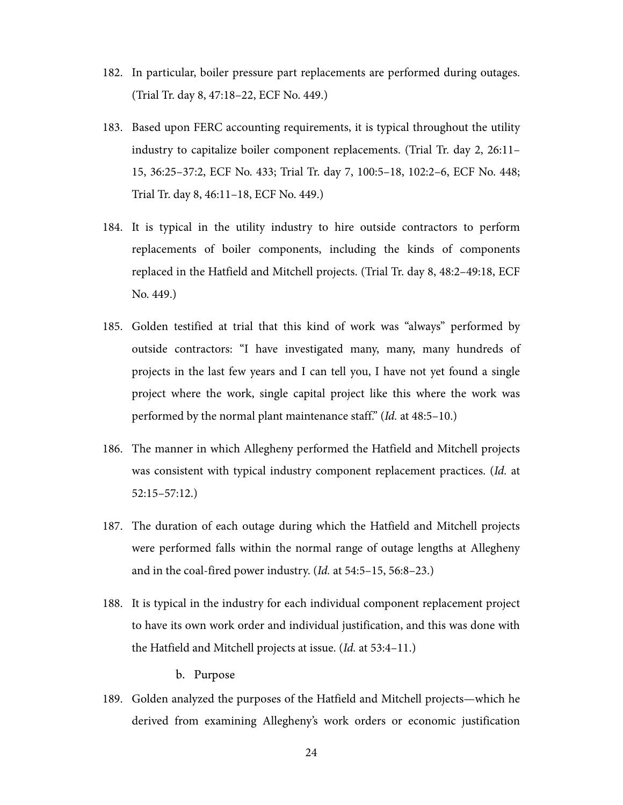- 182. In particular, boiler pressure part replacements are performed during outages. (Trial Tr. day 8, 47:18–22, ECF No. 449.)
- 183. Based upon FERC accounting requirements, it is typical throughout the utility industry to capitalize boiler component replacements. (Trial Tr. day 2, 26:11– 15, 36:25–37:2, ECF No. 433; Trial Tr. day 7, 100:5–18, 102:2–6, ECF No. 448; Trial Tr. day 8, 46:11–18, ECF No. 449.)
- 184. It is typical in the utility industry to hire outside contractors to perform replacements of boiler components, including the kinds of components replaced in the Hatfield and Mitchell projects. (Trial Tr. day 8, 48:2–49:18, ECF No. 449.)
- 185. Golden testified at trial that this kind of work was "always" performed by outside contractors: "I have investigated many, many, many hundreds of projects in the last few years and I can tell you, I have not yet found a single project where the work, single capital project like this where the work was performed by the normal plant maintenance staff." (Id. at 48:5–10.)
- 186. The manner in which Allegheny performed the Hatfield and Mitchell projects was consistent with typical industry component replacement practices. (Id. at 52:15–57:12.)
- 187. The duration of each outage during which the Hatfield and Mitchell projects were performed falls within the normal range of outage lengths at Allegheny and in the coal-fired power industry. (Id. at 54:5–15, 56:8–23.)
- 188. It is typical in the industry for each individual component replacement project to have its own work order and individual justification, and this was done with the Hatfield and Mitchell projects at issue. (Id. at 53:4–11.)

b. Purpose

189. Golden analyzed the purposes of the Hatfield and Mitchell projects—which he derived from examining Allegheny's work orders or economic justification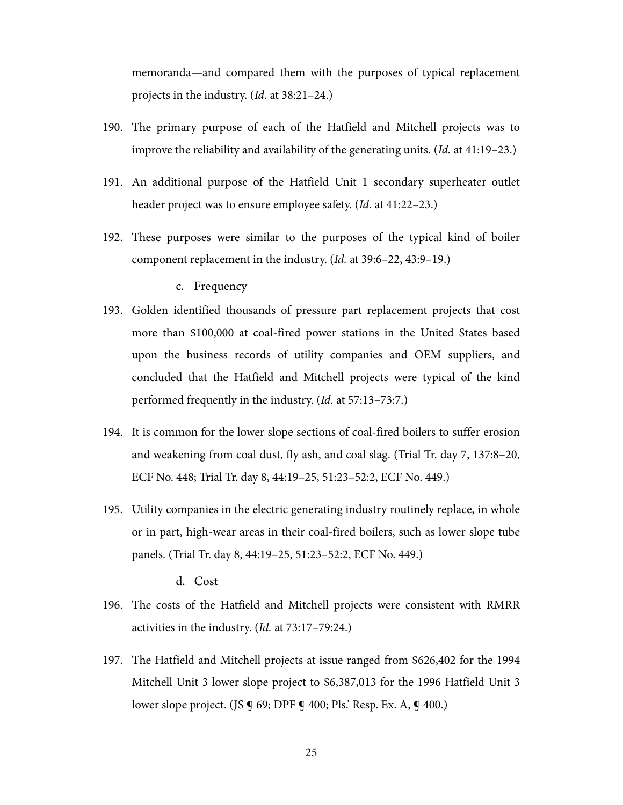memoranda—and compared them with the purposes of typical replacement projects in the industry. (Id. at 38:21–24.)

- 190. The primary purpose of each of the Hatfield and Mitchell projects was to improve the reliability and availability of the generating units. (Id. at 41:19–23.)
- 191. An additional purpose of the Hatfield Unit 1 secondary superheater outlet header project was to ensure employee safety. (Id. at 41:22–23.)
- 192. These purposes were similar to the purposes of the typical kind of boiler component replacement in the industry. (Id. at 39:6–22, 43:9–19.)

#### c. Frequency

- 193. Golden identified thousands of pressure part replacement projects that cost more than \$100,000 at coal-fired power stations in the United States based upon the business records of utility companies and OEM suppliers, and concluded that the Hatfield and Mitchell projects were typical of the kind performed frequently in the industry. (Id. at 57:13–73:7.)
- 194. It is common for the lower slope sections of coal-fired boilers to suffer erosion and weakening from coal dust, fly ash, and coal slag. (Trial Tr. day 7, 137:8–20, ECF No. 448; Trial Tr. day 8, 44:19–25, 51:23–52:2, ECF No. 449.)
- 195. Utility companies in the electric generating industry routinely replace, in whole or in part, high-wear areas in their coal-fired boilers, such as lower slope tube panels. (Trial Tr. day 8, 44:19–25, 51:23–52:2, ECF No. 449.)

d. Cost

- 196. The costs of the Hatfield and Mitchell projects were consistent with RMRR activities in the industry. (Id. at 73:17–79:24.)
- 197. The Hatfield and Mitchell projects at issue ranged from \$626,402 for the 1994 Mitchell Unit 3 lower slope project to \$6,387,013 for the 1996 Hatfield Unit 3 lower slope project. (JS **g** 69; DPF **g** 400; Pls.' Resp. Ex. A, **g** 400.)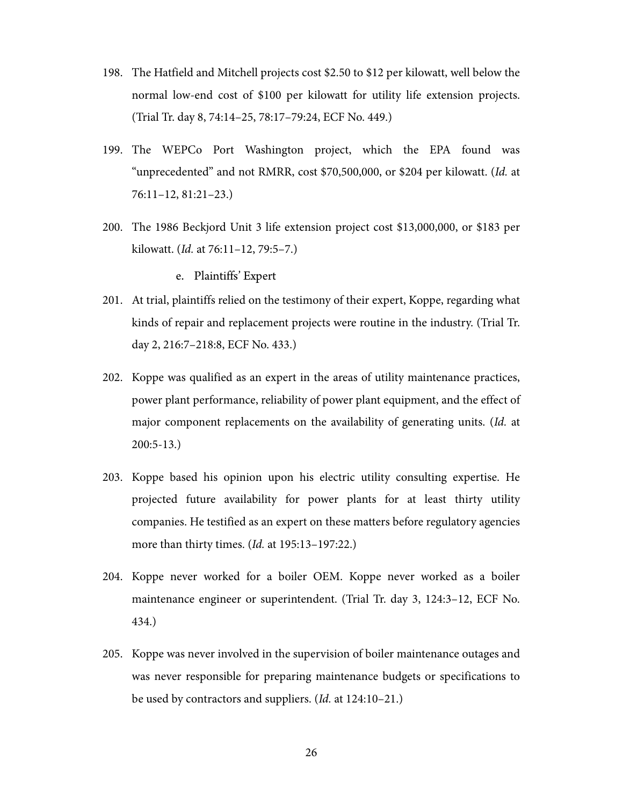- 198. The Hatfield and Mitchell projects cost \$2.50 to \$12 per kilowatt, well below the normal low-end cost of \$100 per kilowatt for utility life extension projects. (Trial Tr. day 8, 74:14–25, 78:17–79:24, ECF No. 449.)
- 199. The WEPCo Port Washington project, which the EPA found was "unprecedented" and not RMRR, cost \$70,500,000, or \$204 per kilowatt. (Id. at 76:11–12, 81:21–23.)
- 200. The 1986 Beckjord Unit 3 life extension project cost \$13,000,000, or \$183 per kilowatt. (Id. at 76:11–12, 79:5–7.)

e. Plaintiffs' Expert

- 201. At trial, plaintiffs relied on the testimony of their expert, Koppe, regarding what kinds of repair and replacement projects were routine in the industry. (Trial Tr. day 2, 216:7–218:8, ECF No. 433.)
- 202. Koppe was qualified as an expert in the areas of utility maintenance practices, power plant performance, reliability of power plant equipment, and the effect of major component replacements on the availability of generating units. (Id. at 200:5-13.)
- 203. Koppe based his opinion upon his electric utility consulting expertise. He projected future availability for power plants for at least thirty utility companies. He testified as an expert on these matters before regulatory agencies more than thirty times. (*Id.* at 195:13–197:22.)
- 204. Koppe never worked for a boiler OEM. Koppe never worked as a boiler maintenance engineer or superintendent. (Trial Tr. day 3, 124:3–12, ECF No. 434.)
- 205. Koppe was never involved in the supervision of boiler maintenance outages and was never responsible for preparing maintenance budgets or specifications to be used by contractors and suppliers. (Id. at 124:10–21.)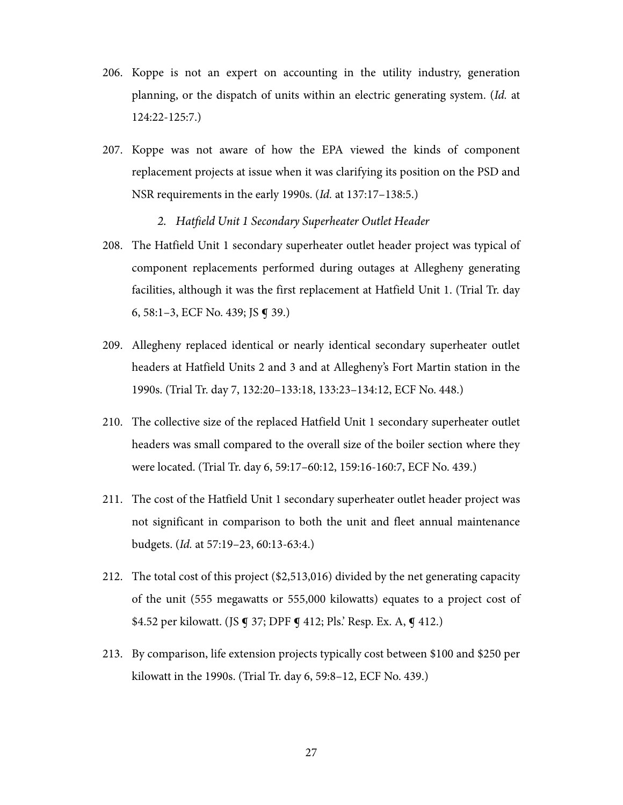- 206. Koppe is not an expert on accounting in the utility industry, generation planning, or the dispatch of units within an electric generating system. (Id. at 124:22-125:7.)
- 207. Koppe was not aware of how the EPA viewed the kinds of component replacement projects at issue when it was clarifying its position on the PSD and NSR requirements in the early 1990s. (Id. at 137:17–138:5.)
	- *2. Hatfield Unit 1 Secondary Superheater Outlet Header*
- 208. The Hatfield Unit 1 secondary superheater outlet header project was typical of component replacements performed during outages at Allegheny generating facilities, although it was the first replacement at Hatfield Unit 1. (Trial Tr. day 6, 58:1–3, ECF No. 439; JS ¶ 39.)
- 209. Allegheny replaced identical or nearly identical secondary superheater outlet headers at Hatfield Units 2 and 3 and at Allegheny's Fort Martin station in the 1990s. (Trial Tr. day 7, 132:20–133:18, 133:23–134:12, ECF No. 448.)
- 210. The collective size of the replaced Hatfield Unit 1 secondary superheater outlet headers was small compared to the overall size of the boiler section where they were located. (Trial Tr. day 6, 59:17–60:12, 159:16-160:7, ECF No. 439.)
- 211. The cost of the Hatfield Unit 1 secondary superheater outlet header project was not significant in comparison to both the unit and fleet annual maintenance budgets. (Id. at 57:19–23, 60:13-63:4.)
- 212. The total cost of this project (\$2,513,016) divided by the net generating capacity of the unit (555 megawatts or 555,000 kilowatts) equates to a project cost of \$4.52 per kilowatt. (JS ¶ 37; DPF ¶ 412; Pls.' Resp. Ex. A, ¶ 412.)
- 213. By comparison, life extension projects typically cost between \$100 and \$250 per kilowatt in the 1990s. (Trial Tr. day 6, 59:8–12, ECF No. 439.)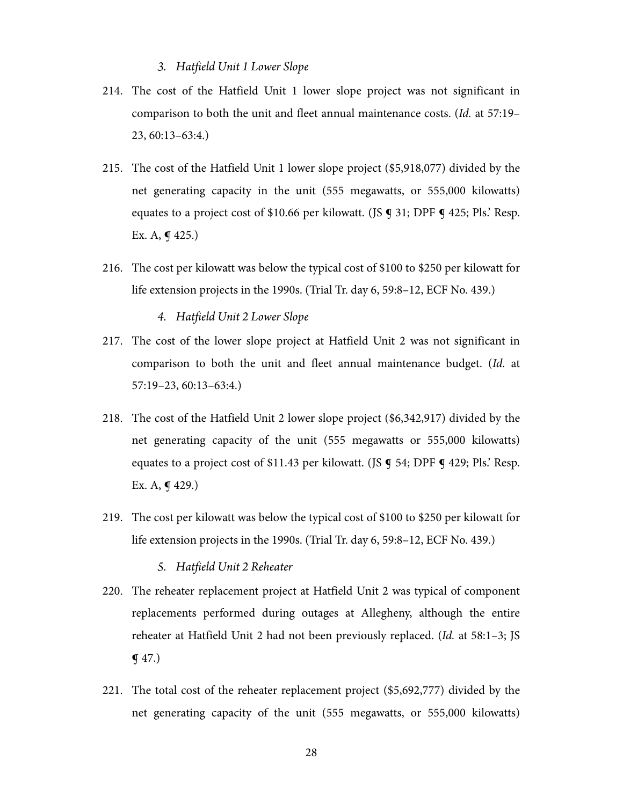## *3. Hatfield Unit 1 Lower Slope*

- 214. The cost of the Hatfield Unit 1 lower slope project was not significant in comparison to both the unit and fleet annual maintenance costs. (Id. at 57:19– 23, 60:13–63:4.)
- 215. The cost of the Hatfield Unit 1 lower slope project (\$5,918,077) divided by the net generating capacity in the unit (555 megawatts, or 555,000 kilowatts) equates to a project cost of \$10.66 per kilowatt. (JS  $\boldsymbol{\mathsf{q}}$  31; DPF  $\boldsymbol{\mathsf{q}}$  425; Pls. Resp. Ex. A, **g** 425.)
- 216. The cost per kilowatt was below the typical cost of \$100 to \$250 per kilowatt for life extension projects in the 1990s. (Trial Tr. day 6, 59:8–12, ECF No. 439.)

*4. Hatfield Unit 2 Lower Slope* 

- 217. The cost of the lower slope project at Hatfield Unit 2 was not significant in comparison to both the unit and fleet annual maintenance budget. (Id. at 57:19–23, 60:13–63:4.)
- 218. The cost of the Hatfield Unit 2 lower slope project (\$6,342,917) divided by the net generating capacity of the unit (555 megawatts or 555,000 kilowatts) equates to a project cost of \$11.43 per kilowatt. (JS  $\boldsymbol{\mathsf{g}}$  54; DPF  $\boldsymbol{\mathsf{g}}$  429; Pls.' Resp. Ex. A, **g** 429.)
- 219. The cost per kilowatt was below the typical cost of \$100 to \$250 per kilowatt for life extension projects in the 1990s. (Trial Tr. day 6, 59:8–12, ECF No. 439.)

*5. Hatfield Unit 2 Reheater* 

- 220. The reheater replacement project at Hatfield Unit 2 was typical of component replacements performed during outages at Allegheny, although the entire reheater at Hatfield Unit 2 had not been previously replaced. (Id. at 58:1–3; JS ¶ 47.)
- 221. The total cost of the reheater replacement project (\$5,692,777) divided by the net generating capacity of the unit (555 megawatts, or 555,000 kilowatts)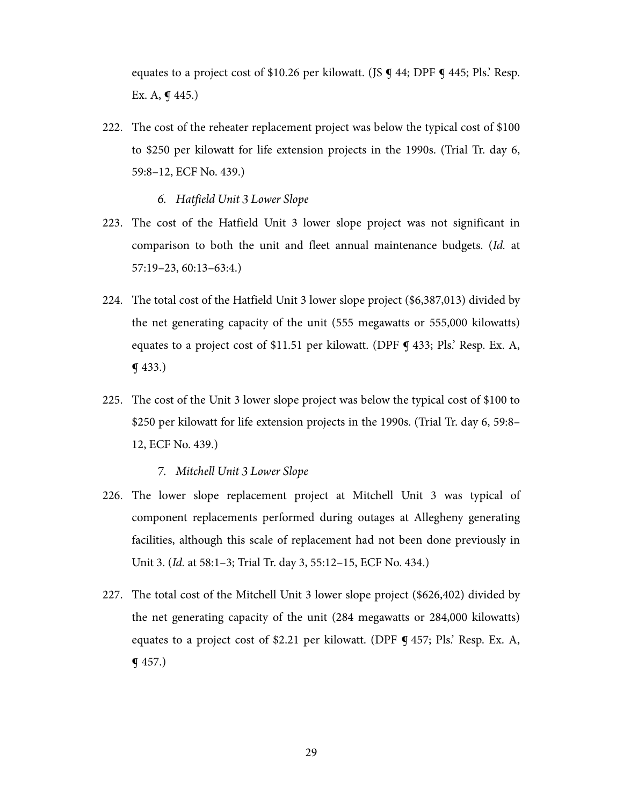equates to a project cost of \$10.26 per kilowatt. (JS **q** 44; DPF **q** 445; Pls. Resp. Ex. A,  $\P$  445.)

222. The cost of the reheater replacement project was below the typical cost of \$100 to \$250 per kilowatt for life extension projects in the 1990s. (Trial Tr. day 6, 59:8–12, ECF No. 439.)

*6. Hatfield Unit 3 Lower Slope* 

- 223. The cost of the Hatfield Unit 3 lower slope project was not significant in comparison to both the unit and fleet annual maintenance budgets. (Id. at 57:19–23, 60:13–63:4.)
- 224. The total cost of the Hatfield Unit 3 lower slope project (\$6,387,013) divided by the net generating capacity of the unit (555 megawatts or 555,000 kilowatts) equates to a project cost of \$11.51 per kilowatt. (DPF  $\P$  433; Pls. Resp. Ex. A, ¶ 433.)
- 225. The cost of the Unit 3 lower slope project was below the typical cost of \$100 to \$250 per kilowatt for life extension projects in the 1990s. (Trial Tr. day 6, 59:8– 12, ECF No. 439.)

*7. Mitchell Unit 3 Lower Slope* 

- 226. The lower slope replacement project at Mitchell Unit 3 was typical of component replacements performed during outages at Allegheny generating facilities, although this scale of replacement had not been done previously in Unit 3. (Id. at 58:1–3; Trial Tr. day 3, 55:12–15, ECF No. 434.)
- 227. The total cost of the Mitchell Unit 3 lower slope project (\$626,402) divided by the net generating capacity of the unit (284 megawatts or 284,000 kilowatts) equates to a project cost of \$2.21 per kilowatt. (DPF  $\P$  457; Pls. Resp. Ex. A,  $\P$  457.)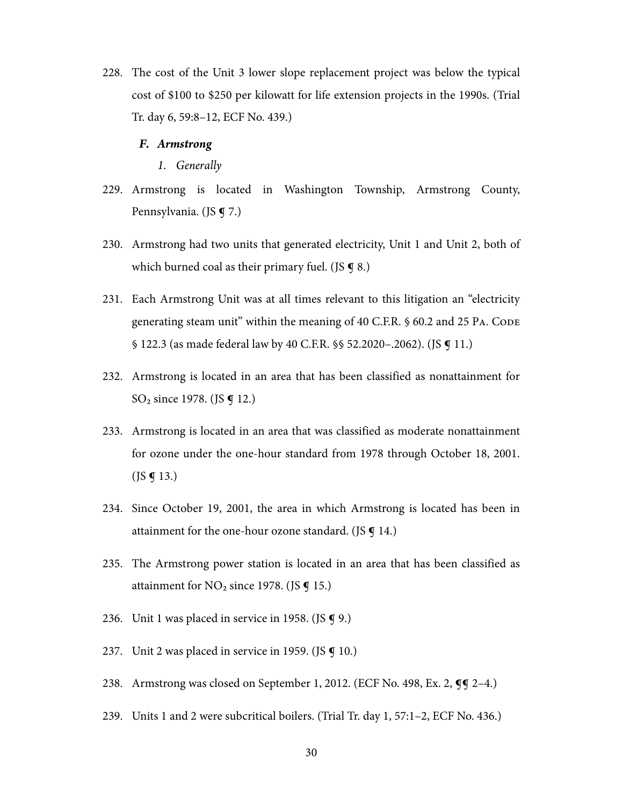228. The cost of the Unit 3 lower slope replacement project was below the typical cost of \$100 to \$250 per kilowatt for life extension projects in the 1990s. (Trial Tr. day 6, 59:8–12, ECF No. 439.)

#### *F. Armstrong*

*1. Generally* 

- 229. Armstrong is located in Washington Township, Armstrong County, Pennsylvania. (JS **g** 7.)
- 230. Armstrong had two units that generated electricity, Unit 1 and Unit 2, both of which burned coal as their primary fuel. (JS  $\boldsymbol{\mathsf{g}}$  8.)
- 231. Each Armstrong Unit was at all times relevant to this litigation an "electricity generating steam unit" within the meaning of 40 C.F.R. § 60.2 and 25 PA. CODE § 122.3 (as made federal law by 40 C.F.R. §§ 52.2020–.2062). (JS ¶ 11.)
- 232. Armstrong is located in an area that has been classified as nonattainment for SO<sub>2</sub> since 1978. (JS **g** 12.)
- 233. Armstrong is located in an area that was classified as moderate nonattainment for ozone under the one-hour standard from 1978 through October 18, 2001.  $($ JS  $\bm{q}$  13.)
- 234. Since October 19, 2001, the area in which Armstrong is located has been in attainment for the one-hour ozone standard. (JS  $\boldsymbol{q}$  14.)
- 235. The Armstrong power station is located in an area that has been classified as attainment for  $NO<sub>2</sub>$  since 1978. (JS  $\P$  15.)
- 236. Unit 1 was placed in service in 1958. (JS  $\boldsymbol{\mathsf{q}}$  9.)
- 237. Unit 2 was placed in service in 1959. (JS  $\boldsymbol{\mathsf{q}}$  10.)
- 238. Armstrong was closed on September 1, 2012. (ECF No. 498, Ex. 2, **qq** 2–4.)
- 239. Units 1 and 2 were subcritical boilers. (Trial Tr. day 1, 57:1–2, ECF No. 436.)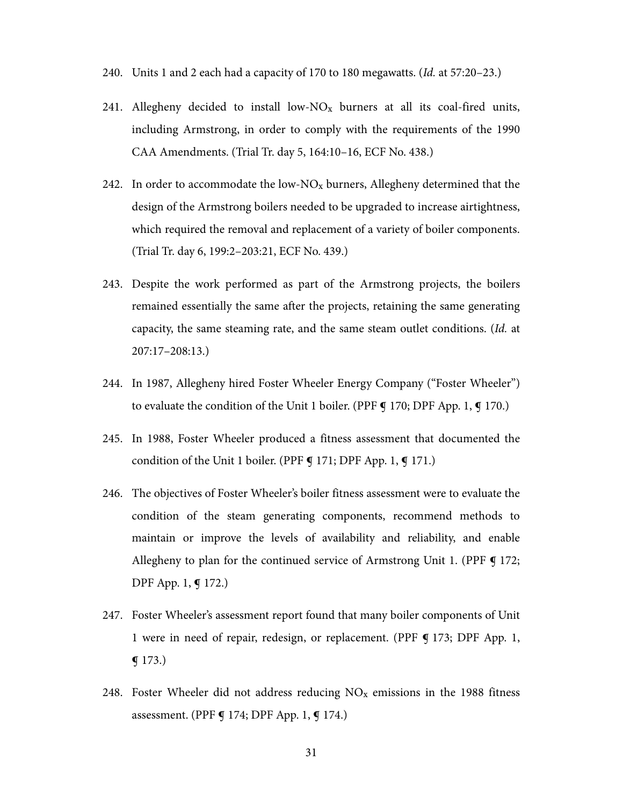- 240. Units 1 and 2 each had a capacity of 170 to 180 megawatts. (Id. at 57:20–23.)
- 241. Allegheny decided to install low- $N_{\rm X}$  burners at all its coal-fired units, including Armstrong, in order to comply with the requirements of the 1990 CAA Amendments. (Trial Tr. day 5, 164:10–16, ECF No. 438.)
- 242. In order to accommodate the low- $NO_x$  burners, Allegheny determined that the design of the Armstrong boilers needed to be upgraded to increase airtightness, which required the removal and replacement of a variety of boiler components. (Trial Tr. day 6, 199:2–203:21, ECF No. 439.)
- 243. Despite the work performed as part of the Armstrong projects, the boilers remained essentially the same after the projects, retaining the same generating capacity, the same steaming rate, and the same steam outlet conditions. (Id. at 207:17–208:13.)
- 244. In 1987, Allegheny hired Foster Wheeler Energy Company ("Foster Wheeler") to evaluate the condition of the Unit 1 boiler. (PPF  $\bigcirc$  170; DPF App. 1,  $\bigcirc$  170.)
- 245. In 1988, Foster Wheeler produced a fitness assessment that documented the condition of the Unit 1 boiler. (PPF  $\bigcirc$  171; DPF App. 1,  $\bigcirc$  171.)
- 246. The objectives of Foster Wheeler's boiler fitness assessment were to evaluate the condition of the steam generating components, recommend methods to maintain or improve the levels of availability and reliability, and enable Allegheny to plan for the continued service of Armstrong Unit 1. (PPF ¶ 172; DPF App. 1, ¶ 172.)
- 247. Foster Wheeler's assessment report found that many boiler components of Unit 1 were in need of repair, redesign, or replacement. (PPF ¶ 173; DPF App. 1,  $\P$  173.)
- 248. Foster Wheeler did not address reducing  $NO<sub>x</sub>$  emissions in the 1988 fitness assessment. (PPF **¶** 174; DPF App. 1, **¶** 174.)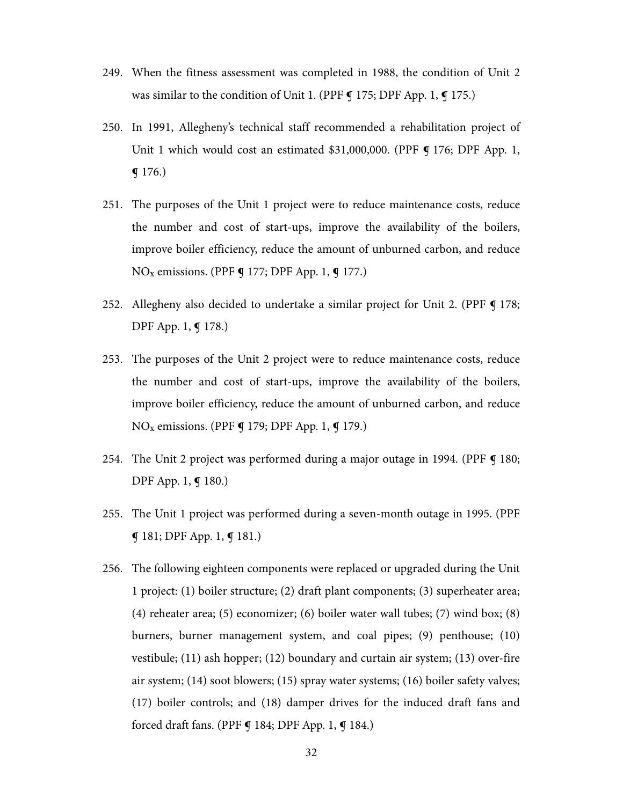- 249. When the fitness assessment was completed in 1988, the condition of Unit 2 was similar to the condition of Unit 1. (PPF **g** 175; DPF App. 1, **g** 175.)
- 250. In 1991, Allegheny's technical staff recommended a rehabilitation project of Unit 1 which would cost an estimated \$31,000,000. (PPF ¶ 176; DPF App. 1,  $\P$  176.)
- 251. The purposes of the Unit 1 project were to reduce maintenance costs, reduce the number and cost of start-ups, improve the availability of the boilers, improve boiler efficiency, reduce the amount of unburned carbon, and reduce  $NO<sub>x</sub>$  emissions. (PPF  $\P$  177; DPF App. 1,  $\P$  177.)
- 252. Allegheny also decided to undertake a similar project for Unit 2. (PPF  $\P$  178; DPF App. 1, ¶ 178.)
- 253. The purposes of the Unit 2 project were to reduce maintenance costs, reduce the number and cost of start-ups, improve the availability of the boilers, improve boiler efficiency, reduce the amount of unburned carbon, and reduce  $NO<sub>x</sub>$  emissions. (PPF  $\P$  179; DPF App. 1,  $\P$  179.)
- 254. The Unit 2 project was performed during a major outage in 1994. (PPF **¶** 180; DPF App. 1, ¶ 180.)
- 255. The Unit 1 project was performed during a seven-month outage in 1995. (PPF ¶ 181; DPF App. 1, ¶ 181.)
- 256. The following eighteen components were replaced or upgraded during the Unit 1 project: (1) boiler structure; (2) draft plant components; (3) superheater area; (4) reheater area; (5) economizer; (6) boiler water wall tubes; (7) wind box; (8) burners, burner management system, and coal pipes; (9) penthouse; (10) vestibule; (11) ash hopper; (12) boundary and curtain air system; (13) over-fire air system; (14) soot blowers; (15) spray water systems; (16) boiler safety valves; (17) boiler controls; and (18) damper drives for the induced draft fans and forced draft fans. (PPF **g** 184; DPF App. 1, **g** 184.)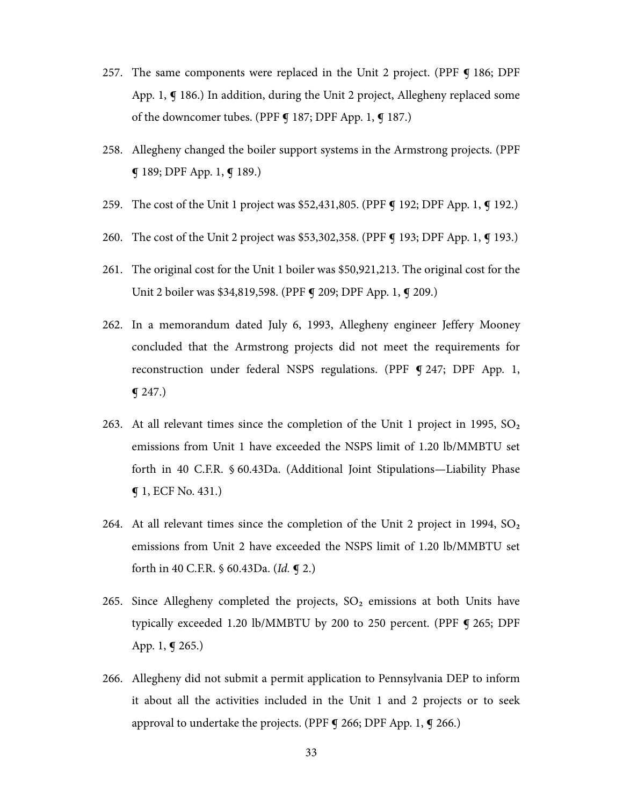- 257. The same components were replaced in the Unit 2 project. (PPF ¶ 186; DPF App. 1,  $\P$  186.) In addition, during the Unit 2 project, Allegheny replaced some of the downcomer tubes. (PPF **¶** 187; DPF App. 1, **¶** 187.)
- 258. Allegheny changed the boiler support systems in the Armstrong projects. (PPF ¶ 189; DPF App. 1, ¶ 189.)
- 259. The cost of the Unit 1 project was \$52,431,805. (PPF **q** 192; DPF App. 1, **q** 192.)
- 260. The cost of the Unit 2 project was \$53,302,358. (PPF **q** 193; DPF App. 1, **q** 193.)
- 261. The original cost for the Unit 1 boiler was \$50,921,213. The original cost for the Unit 2 boiler was \$34,819,598. (PPF **q** 209; DPF App. 1, **q** 209.)
- 262. In a memorandum dated July 6, 1993, Allegheny engineer Jeffery Mooney concluded that the Armstrong projects did not meet the requirements for reconstruction under federal NSPS regulations. (PPF 9 247; DPF App. 1,  $q$  247.)
- 263. At all relevant times since the completion of the Unit 1 project in 1995,  $SO_2$ emissions from Unit 1 have exceeded the NSPS limit of 1.20 lb/MMBTU set forth in 40 C.F.R. § 60.43Da. (Additional Joint Stipulations—Liability Phase ¶ 1, ECF No. 431.)
- 264. At all relevant times since the completion of the Unit 2 project in 1994,  $SO<sub>2</sub>$ emissions from Unit 2 have exceeded the NSPS limit of 1.20 lb/MMBTU set forth in 40 C.F.R. § 60.43Da. (Id. ¶ 2.)
- 265. Since Allegheny completed the projects,  $SO<sub>2</sub>$  emissions at both Units have typically exceeded 1.20 lb/MMBTU by 200 to 250 percent. (PPF ¶ 265; DPF App. 1, ¶ 265.)
- 266. Allegheny did not submit a permit application to Pennsylvania DEP to inform it about all the activities included in the Unit 1 and 2 projects or to seek approval to undertake the projects. (PPF **g** 266; DPF App. 1, **g** 266.)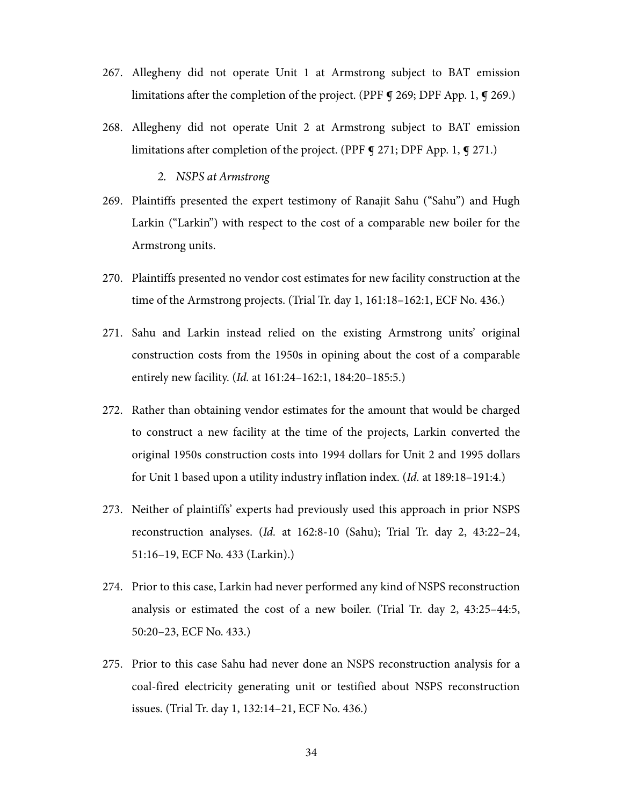- 267. Allegheny did not operate Unit 1 at Armstrong subject to BAT emission limitations after the completion of the project. (PPF **g** 269; DPF App. 1, **g** 269.)
- 268. Allegheny did not operate Unit 2 at Armstrong subject to BAT emission limitations after completion of the project. (PPF **g** 271; DPF App. 1, **g** 271.)

#### *2. NSPS at Armstrong*

- 269. Plaintiffs presented the expert testimony of Ranajit Sahu ("Sahu") and Hugh Larkin ("Larkin") with respect to the cost of a comparable new boiler for the Armstrong units.
- 270. Plaintiffs presented no vendor cost estimates for new facility construction at the time of the Armstrong projects. (Trial Tr. day 1, 161:18–162:1, ECF No. 436.)
- 271. Sahu and Larkin instead relied on the existing Armstrong units' original construction costs from the 1950s in opining about the cost of a comparable entirely new facility. (Id. at 161:24–162:1, 184:20–185:5.)
- 272. Rather than obtaining vendor estimates for the amount that would be charged to construct a new facility at the time of the projects, Larkin converted the original 1950s construction costs into 1994 dollars for Unit 2 and 1995 dollars for Unit 1 based upon a utility industry inflation index. (Id. at 189:18–191:4.)
- 273. Neither of plaintiffs' experts had previously used this approach in prior NSPS reconstruction analyses. (Id. at 162:8-10 (Sahu); Trial Tr. day 2, 43:22–24, 51:16–19, ECF No. 433 (Larkin).)
- 274. Prior to this case, Larkin had never performed any kind of NSPS reconstruction analysis or estimated the cost of a new boiler. (Trial Tr. day 2, 43:25–44:5, 50:20–23, ECF No. 433.)
- 275. Prior to this case Sahu had never done an NSPS reconstruction analysis for a coal-fired electricity generating unit or testified about NSPS reconstruction issues. (Trial Tr. day 1, 132:14–21, ECF No. 436.)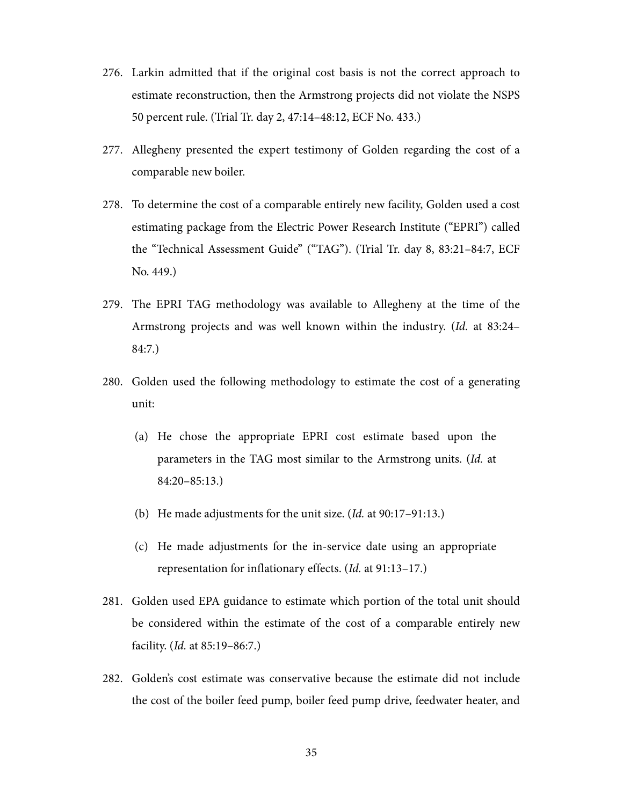- 276. Larkin admitted that if the original cost basis is not the correct approach to estimate reconstruction, then the Armstrong projects did not violate the NSPS 50 percent rule. (Trial Tr. day 2, 47:14–48:12, ECF No. 433.)
- 277. Allegheny presented the expert testimony of Golden regarding the cost of a comparable new boiler.
- 278. To determine the cost of a comparable entirely new facility, Golden used a cost estimating package from the Electric Power Research Institute ("EPRI") called the "Technical Assessment Guide" ("TAG"). (Trial Tr. day 8, 83:21–84:7, ECF No. 449.)
- 279. The EPRI TAG methodology was available to Allegheny at the time of the Armstrong projects and was well known within the industry. (Id. at 83:24– 84:7.)
- 280. Golden used the following methodology to estimate the cost of a generating unit:
	- (a) He chose the appropriate EPRI cost estimate based upon the parameters in the TAG most similar to the Armstrong units. (Id. at 84:20–85:13.)
	- (b) He made adjustments for the unit size. (Id. at 90:17–91:13.)
	- (c) He made adjustments for the in-service date using an appropriate representation for inflationary effects. (Id. at 91:13–17.)
- 281. Golden used EPA guidance to estimate which portion of the total unit should be considered within the estimate of the cost of a comparable entirely new facility. (Id. at 85:19–86:7.)
- 282. Golden's cost estimate was conservative because the estimate did not include the cost of the boiler feed pump, boiler feed pump drive, feedwater heater, and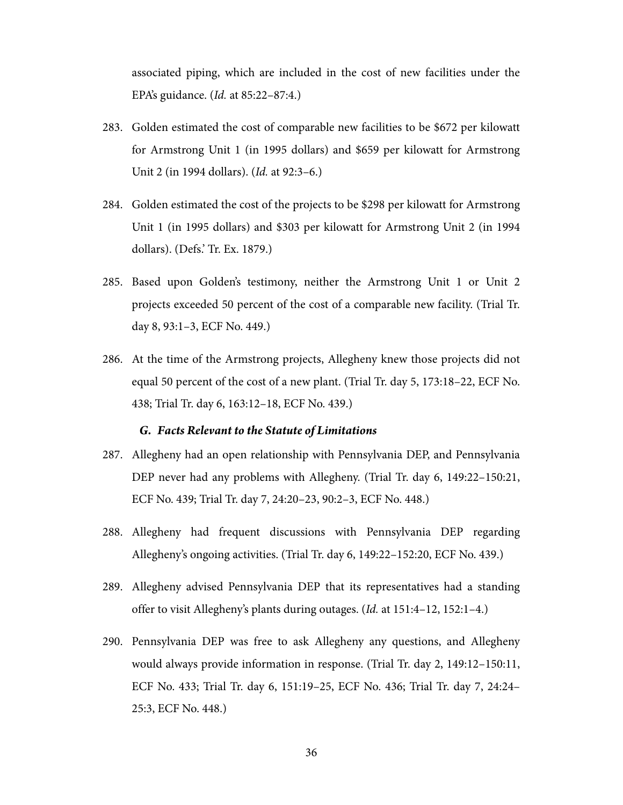associated piping, which are included in the cost of new facilities under the EPA's guidance. (Id. at 85:22–87:4.)

- 283. Golden estimated the cost of comparable new facilities to be \$672 per kilowatt for Armstrong Unit 1 (in 1995 dollars) and \$659 per kilowatt for Armstrong Unit 2 (in 1994 dollars). (Id. at 92:3–6.)
- 284. Golden estimated the cost of the projects to be \$298 per kilowatt for Armstrong Unit 1 (in 1995 dollars) and \$303 per kilowatt for Armstrong Unit 2 (in 1994 dollars). (Defs.' Tr. Ex. 1879.)
- 285. Based upon Golden's testimony, neither the Armstrong Unit 1 or Unit 2 projects exceeded 50 percent of the cost of a comparable new facility. (Trial Tr. day 8, 93:1–3, ECF No. 449.)
- 286. At the time of the Armstrong projects, Allegheny knew those projects did not equal 50 percent of the cost of a new plant. (Trial Tr. day 5, 173:18–22, ECF No. 438; Trial Tr. day 6, 163:12–18, ECF No. 439.)

#### *G. Facts Relevant to the Statute of Limitations*

- 287. Allegheny had an open relationship with Pennsylvania DEP, and Pennsylvania DEP never had any problems with Allegheny. (Trial Tr. day 6, 149:22–150:21, ECF No. 439; Trial Tr. day 7, 24:20–23, 90:2–3, ECF No. 448.)
- 288. Allegheny had frequent discussions with Pennsylvania DEP regarding Allegheny's ongoing activities. (Trial Tr. day 6, 149:22–152:20, ECF No. 439.)
- 289. Allegheny advised Pennsylvania DEP that its representatives had a standing offer to visit Allegheny's plants during outages. (Id. at 151:4–12, 152:1–4.)
- 290. Pennsylvania DEP was free to ask Allegheny any questions, and Allegheny would always provide information in response. (Trial Tr. day 2, 149:12–150:11, ECF No. 433; Trial Tr. day 6, 151:19–25, ECF No. 436; Trial Tr. day 7, 24:24– 25:3, ECF No. 448.)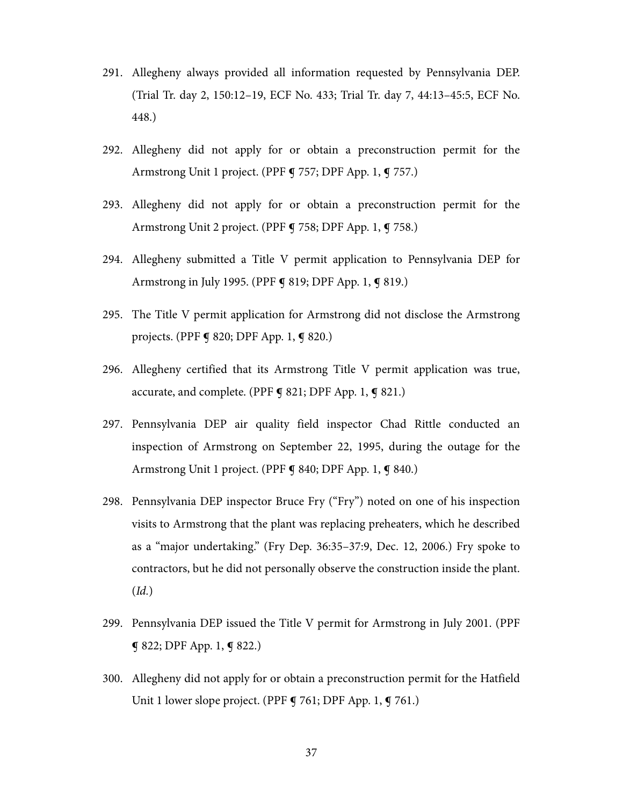- 291. Allegheny always provided all information requested by Pennsylvania DEP. (Trial Tr. day 2, 150:12–19, ECF No. 433; Trial Tr. day 7, 44:13–45:5, ECF No. 448.)
- 292. Allegheny did not apply for or obtain a preconstruction permit for the Armstrong Unit 1 project. (PPF ¶ 757; DPF App. 1, ¶ 757.)
- 293. Allegheny did not apply for or obtain a preconstruction permit for the Armstrong Unit 2 project. (PPF ¶ 758; DPF App. 1, ¶ 758.)
- 294. Allegheny submitted a Title V permit application to Pennsylvania DEP for Armstrong in July 1995. (PPF **¶** 819; DPF App. 1, **¶** 819.)
- 295. The Title V permit application for Armstrong did not disclose the Armstrong projects. (PPF ¶ 820; DPF App. 1, ¶ 820.)
- 296. Allegheny certified that its Armstrong Title V permit application was true, accurate, and complete. (PPF ¶ 821; DPF App. 1, ¶ 821.)
- 297. Pennsylvania DEP air quality field inspector Chad Rittle conducted an inspection of Armstrong on September 22, 1995, during the outage for the Armstrong Unit 1 project. (PPF § 840; DPF App. 1, § 840.)
- 298. Pennsylvania DEP inspector Bruce Fry ("Fry") noted on one of his inspection visits to Armstrong that the plant was replacing preheaters, which he described as a "major undertaking." (Fry Dep. 36:35–37:9, Dec. 12, 2006.) Fry spoke to contractors, but he did not personally observe the construction inside the plant. (Id.)
- 299. Pennsylvania DEP issued the Title V permit for Armstrong in July 2001. (PPF ¶ 822; DPF App. 1, ¶ 822.)
- 300. Allegheny did not apply for or obtain a preconstruction permit for the Hatfield Unit 1 lower slope project. (PPF ¶ 761; DPF App. 1, ¶ 761.)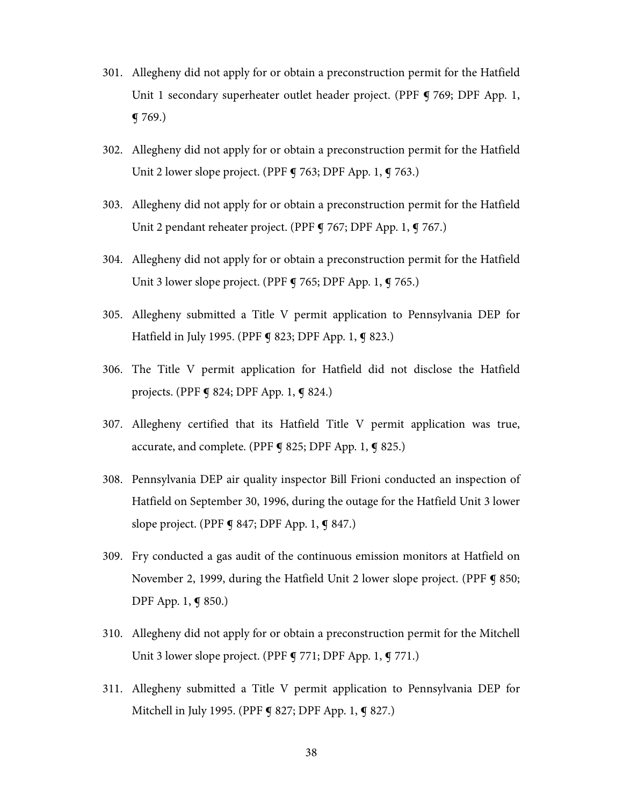- 301. Allegheny did not apply for or obtain a preconstruction permit for the Hatfield Unit 1 secondary superheater outlet header project. (PPF 9 769; DPF App. 1, ¶ 769.)
- 302. Allegheny did not apply for or obtain a preconstruction permit for the Hatfield Unit 2 lower slope project. (PPF **g** 763; DPF App. 1, **g** 763.)
- 303. Allegheny did not apply for or obtain a preconstruction permit for the Hatfield Unit 2 pendant reheater project. (PPF ¶ 767; DPF App. 1, ¶ 767.)
- 304. Allegheny did not apply for or obtain a preconstruction permit for the Hatfield Unit 3 lower slope project. (PPF **q** 765; DPF App. 1, **q** 765.)
- 305. Allegheny submitted a Title V permit application to Pennsylvania DEP for Hatfield in July 1995. (PPF **¶** 823; DPF App. 1, **¶** 823.)
- 306. The Title V permit application for Hatfield did not disclose the Hatfield projects. (PPF ¶ 824; DPF App. 1, ¶ 824.)
- 307. Allegheny certified that its Hatfield Title V permit application was true, accurate, and complete. (PPF § 825; DPF App. 1, § 825.)
- 308. Pennsylvania DEP air quality inspector Bill Frioni conducted an inspection of Hatfield on September 30, 1996, during the outage for the Hatfield Unit 3 lower slope project. (PPF **g** 847; DPF App. 1, **g** 847.)
- 309. Fry conducted a gas audit of the continuous emission monitors at Hatfield on November 2, 1999, during the Hatfield Unit 2 lower slope project. (PPF ¶ 850; DPF App. 1, ¶ 850.)
- 310. Allegheny did not apply for or obtain a preconstruction permit for the Mitchell Unit 3 lower slope project. (PPF **g** 771; DPF App. 1, **g** 771.)
- 311. Allegheny submitted a Title V permit application to Pennsylvania DEP for Mitchell in July 1995. (PPF ¶ 827; DPF App. 1, ¶ 827.)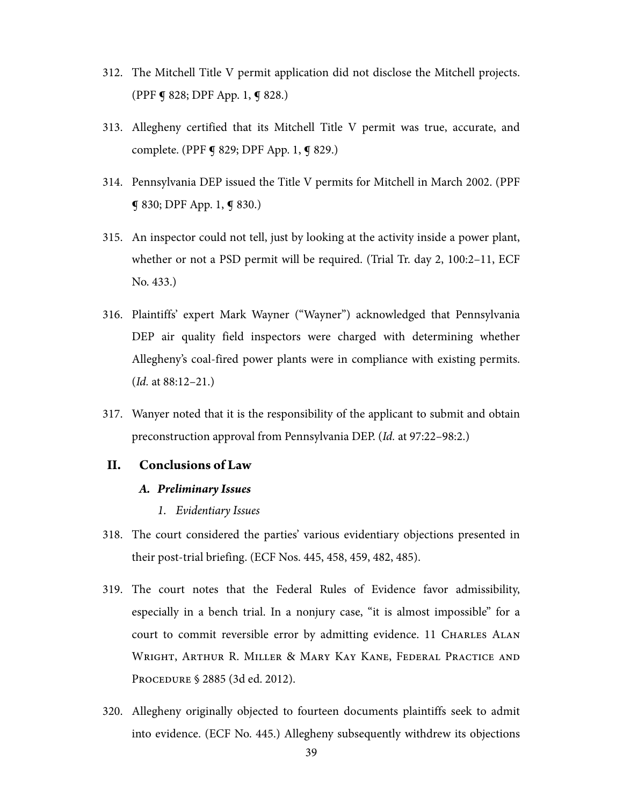- 312. The Mitchell Title V permit application did not disclose the Mitchell projects. (PPF ¶ 828; DPF App. 1, ¶ 828.)
- 313. Allegheny certified that its Mitchell Title V permit was true, accurate, and complete. (PPF **¶** 829; DPF App. 1, **¶** 829.)
- 314. Pennsylvania DEP issued the Title V permits for Mitchell in March 2002. (PPF ¶ 830; DPF App. 1, ¶ 830.)
- 315. An inspector could not tell, just by looking at the activity inside a power plant, whether or not a PSD permit will be required. (Trial Tr. day 2, 100:2–11, ECF No. 433.)
- 316. Plaintiffs' expert Mark Wayner ("Wayner") acknowledged that Pennsylvania DEP air quality field inspectors were charged with determining whether Allegheny's coal-fired power plants were in compliance with existing permits. (Id. at 88:12–21.)
- 317. Wanyer noted that it is the responsibility of the applicant to submit and obtain preconstruction approval from Pennsylvania DEP. (Id. at 97:22–98:2.)

#### **II. Conclusions of Law**

#### *A. Preliminary Issues*

- *1. Evidentiary Issues*
- 318. The court considered the parties' various evidentiary objections presented in their post-trial briefing. (ECF Nos. 445, 458, 459, 482, 485).
- 319. The court notes that the Federal Rules of Evidence favor admissibility, especially in a bench trial. In a nonjury case, "it is almost impossible" for a court to commit reversible error by admitting evidence. 11 CHARLES ALAN WRIGHT, ARTHUR R. MILLER & MARY KAY KANE, FEDERAL PRACTICE AND PROCEDURE § 2885 (3d ed. 2012).
- 320. Allegheny originally objected to fourteen documents plaintiffs seek to admit into evidence. (ECF No. 445.) Allegheny subsequently withdrew its objections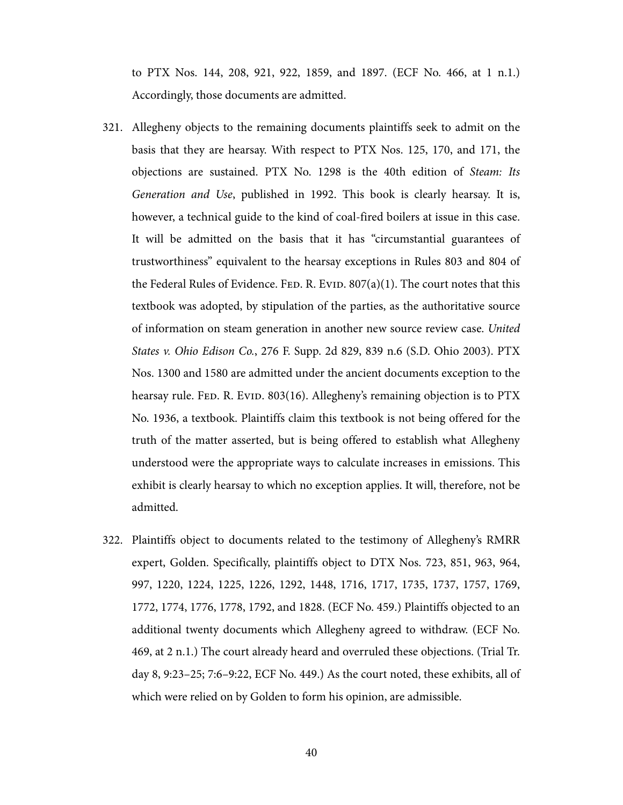to PTX Nos. 144, 208, 921, 922, 1859, and 1897. (ECF No. 466, at 1 n.1.) Accordingly, those documents are admitted.

- 321. Allegheny objects to the remaining documents plaintiffs seek to admit on the basis that they are hearsay. With respect to PTX Nos. 125, 170, and 171, the objections are sustained. PTX No. 1298 is the 40th edition of Steam: Its Generation and Use, published in 1992. This book is clearly hearsay. It is, however, a technical guide to the kind of coal-fired boilers at issue in this case. It will be admitted on the basis that it has "circumstantial guarantees of trustworthiness" equivalent to the hearsay exceptions in Rules 803 and 804 of the Federal Rules of Evidence. FED. R. EVID.  $807(a)(1)$ . The court notes that this textbook was adopted, by stipulation of the parties, as the authoritative source of information on steam generation in another new source review case. United States v. Ohio Edison Co., 276 F. Supp. 2d 829, 839 n.6 (S.D. Ohio 2003). PTX Nos. 1300 and 1580 are admitted under the ancient documents exception to the hearsay rule. FED. R. EVID. 803(16). Allegheny's remaining objection is to PTX No. 1936, a textbook. Plaintiffs claim this textbook is not being offered for the truth of the matter asserted, but is being offered to establish what Allegheny understood were the appropriate ways to calculate increases in emissions. This exhibit is clearly hearsay to which no exception applies. It will, therefore, not be admitted.
- 322. Plaintiffs object to documents related to the testimony of Allegheny's RMRR expert, Golden. Specifically, plaintiffs object to DTX Nos. 723, 851, 963, 964, 997, 1220, 1224, 1225, 1226, 1292, 1448, 1716, 1717, 1735, 1737, 1757, 1769, 1772, 1774, 1776, 1778, 1792, and 1828. (ECF No. 459.) Plaintiffs objected to an additional twenty documents which Allegheny agreed to withdraw. (ECF No. 469, at 2 n.1.) The court already heard and overruled these objections. (Trial Tr. day 8, 9:23–25; 7:6–9:22, ECF No. 449.) As the court noted, these exhibits, all of which were relied on by Golden to form his opinion, are admissible.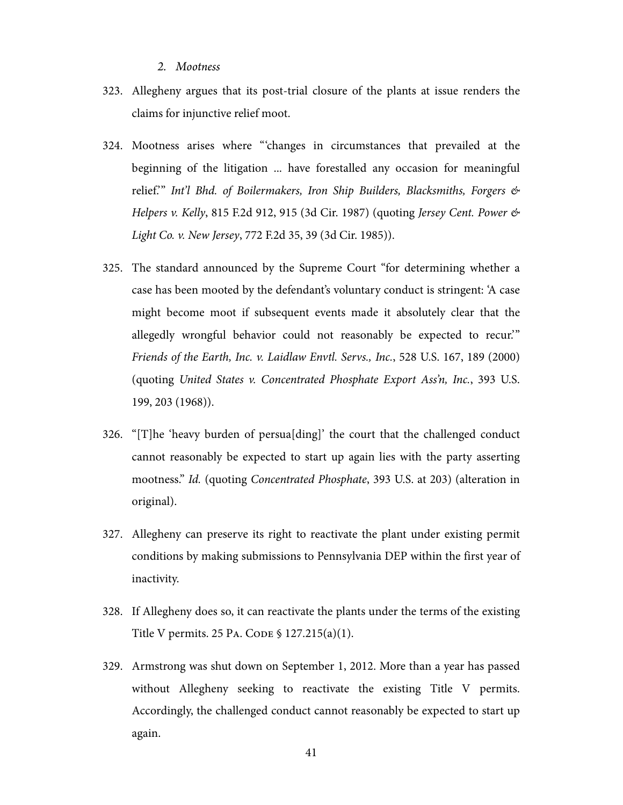#### *2. Mootness*

- 323. Allegheny argues that its post-trial closure of the plants at issue renders the claims for injunctive relief moot.
- 324. Mootness arises where '''changes in circumstances that prevailed at the beginning of the litigation ... have forestalled any occasion for meaningful relief." Int'l Bhd. of Boilermakers, Iron Ship Builders, Blacksmiths, Forgers & Helpers v. Kelly, 815 F.2d 912, 915 (3d Cir. 1987) (quoting Jersey Cent. Power & Light Co. v. New Jersey, 772 F.2d 35, 39 (3d Cir. 1985)).
- 325. The standard announced by the Supreme Court "for determining whether a case has been mooted by the defendant's voluntary conduct is stringent: 'A case might become moot if subsequent events made it absolutely clear that the allegedly wrongful behavior could not reasonably be expected to recur.'" Friends of the Earth, Inc. v. Laidlaw Envtl. Servs., Inc., 528 U.S. 167, 189 (2000) (quoting United States v. Concentrated Phosphate Export Ass'n, Inc., 393 U.S. 199, 203 (1968)).
- 326. "[T]he 'heavy burden of persua[ding]' the court that the challenged conduct cannot reasonably be expected to start up again lies with the party asserting mootness." Id. (quoting Concentrated Phosphate, 393 U.S. at 203) (alteration in original).
- 327. Allegheny can preserve its right to reactivate the plant under existing permit conditions by making submissions to Pennsylvania DEP within the first year of inactivity.
- 328. If Allegheny does so, it can reactivate the plants under the terms of the existing Title V permits. 25 PA. CODE § 127.215(a)(1).
- 329. Armstrong was shut down on September 1, 2012. More than a year has passed without Allegheny seeking to reactivate the existing Title V permits. Accordingly, the challenged conduct cannot reasonably be expected to start up again.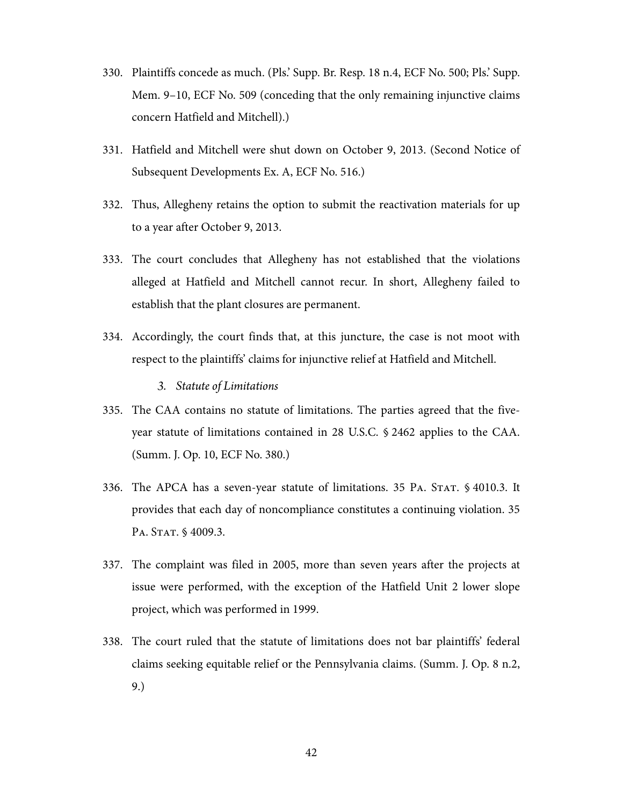- 330. Plaintiffs concede as much. (Pls.' Supp. Br. Resp. 18 n.4, ECF No. 500; Pls.' Supp. Mem. 9–10, ECF No. 509 (conceding that the only remaining injunctive claims concern Hatfield and Mitchell).)
- 331. Hatfield and Mitchell were shut down on October 9, 2013. (Second Notice of Subsequent Developments Ex. A, ECF No. 516.)
- 332. Thus, Allegheny retains the option to submit the reactivation materials for up to a year after October 9, 2013.
- 333. The court concludes that Allegheny has not established that the violations alleged at Hatfield and Mitchell cannot recur. In short, Allegheny failed to establish that the plant closures are permanent.
- 334. Accordingly, the court finds that, at this juncture, the case is not moot with respect to the plaintiffs' claims for injunctive relief at Hatfield and Mitchell.
	- *3. Statute of Limitations*
- 335. The CAA contains no statute of limitations. The parties agreed that the fiveyear statute of limitations contained in 28 U.S.C. § 2462 applies to the CAA. (Summ. J. Op. 10, ECF No. 380.)
- 336. The APCA has a seven-year statute of limitations. 35 PA. STAT. § 4010.3. It provides that each day of noncompliance constitutes a continuing violation. 35 PA. STAT. § 4009.3.
- 337. The complaint was filed in 2005, more than seven years after the projects at issue were performed, with the exception of the Hatfield Unit 2 lower slope project, which was performed in 1999.
- 338. The court ruled that the statute of limitations does not bar plaintiffs' federal claims seeking equitable relief or the Pennsylvania claims. (Summ. J. Op. 8 n.2, 9.)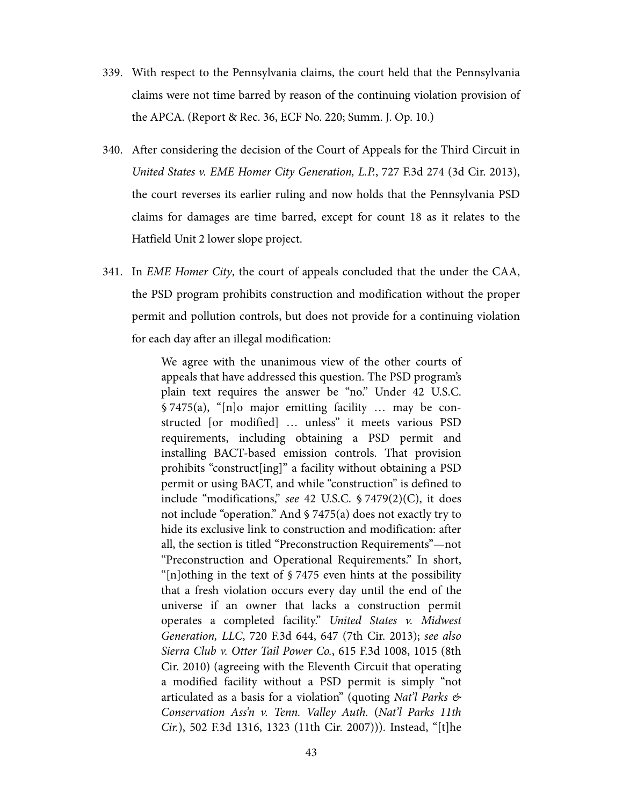- 339. With respect to the Pennsylvania claims, the court held that the Pennsylvania claims were not time barred by reason of the continuing violation provision of the APCA. (Report & Rec. 36, ECF No. 220; Summ. J. Op. 10.)
- 340. After considering the decision of the Court of Appeals for the Third Circuit in United States v. EME Homer City Generation, L.P., 727 F.3d 274 (3d Cir. 2013), the court reverses its earlier ruling and now holds that the Pennsylvania PSD claims for damages are time barred, except for count 18 as it relates to the Hatfield Unit 2 lower slope project.
- 341. In EME Homer City, the court of appeals concluded that the under the CAA, the PSD program prohibits construction and modification without the proper permit and pollution controls, but does not provide for a continuing violation for each day after an illegal modification:

We agree with the unanimous view of the other courts of appeals that have addressed this question. The PSD program's plain text requires the answer be "no." Under 42 U.S.C. § 7475(a), "[n]o major emitting facility … may be constructed [or modified] … unless" it meets various PSD requirements, including obtaining a PSD permit and installing BACT-based emission controls. That provision prohibits "construct[ing]" a facility without obtaining a PSD permit or using BACT, and while "construction" is defined to include "modifications," see 42 U.S.C. § 7479(2)(C), it does not include "operation." And § 7475(a) does not exactly try to hide its exclusive link to construction and modification: after all, the section is titled "Preconstruction Requirements"—not "Preconstruction and Operational Requirements." In short, " $[n]$ othing in the text of § 7475 even hints at the possibility that a fresh violation occurs every day until the end of the universe if an owner that lacks a construction permit operates a completed facility." United States v. Midwest Generation, LLC, 720 F.3d 644, 647 (7th Cir. 2013); see also Sierra Club v. Otter Tail Power Co., 615 F.3d 1008, 1015 (8th Cir. 2010) (agreeing with the Eleventh Circuit that operating a modified facility without a PSD permit is simply "not articulated as a basis for a violation" (quoting Nat'l Parks  $\mathfrak{G}$ Conservation Ass'n v. Tenn. Valley Auth. (Nat'l Parks 11th Cir.), 502 F.3d 1316, 1323 (11th Cir. 2007))). Instead, "[t]he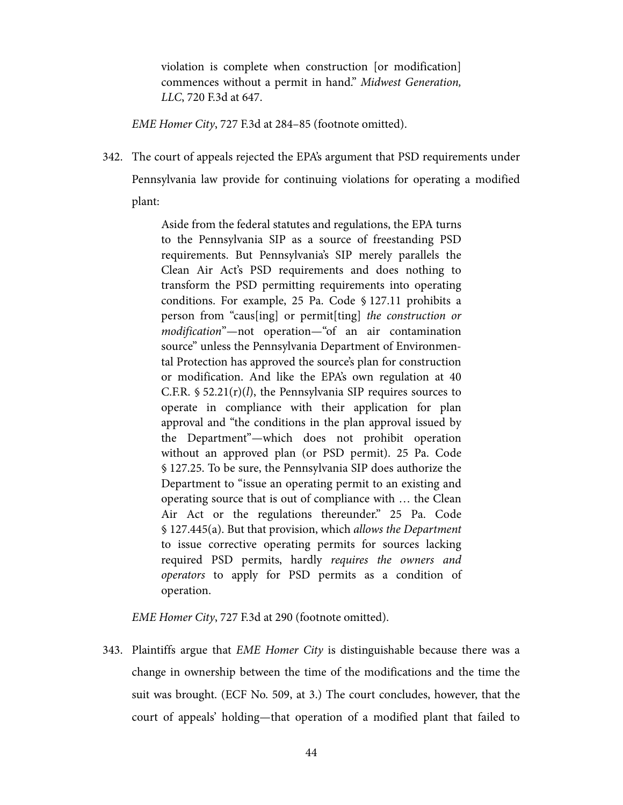violation is complete when construction [or modification] commences without a permit in hand." Midwest Generation, LLC, 720 F.3d at 647.

EME Homer City, 727 F.3d at 284–85 (footnote omitted).

342. The court of appeals rejected the EPA's argument that PSD requirements under Pennsylvania law provide for continuing violations for operating a modified plant:

> Aside from the federal statutes and regulations, the EPA turns to the Pennsylvania SIP as a source of freestanding PSD requirements. But Pennsylvania's SIP merely parallels the Clean Air Act's PSD requirements and does nothing to transform the PSD permitting requirements into operating conditions. For example, 25 Pa. Code § 127.11 prohibits a person from "caus[ing] or permit[ting] the construction or modification"—not operation—"of an air contamination source" unless the Pennsylvania Department of Environmental Protection has approved the source's plan for construction or modification. And like the EPA's own regulation at 40 C.F.R.  $\frac{52.21(r)}{l}$ , the Pennsylvania SIP requires sources to operate in compliance with their application for plan approval and "the conditions in the plan approval issued by the Department"—which does not prohibit operation without an approved plan (or PSD permit). 25 Pa. Code § 127.25. To be sure, the Pennsylvania SIP does authorize the Department to "issue an operating permit to an existing and operating source that is out of compliance with … the Clean Air Act or the regulations thereunder." 25 Pa. Code § 127.445(a). But that provision, which allows the Department to issue corrective operating permits for sources lacking required PSD permits, hardly requires the owners and operators to apply for PSD permits as a condition of operation.

EME Homer City, 727 F.3d at 290 (footnote omitted).

343. Plaintiffs argue that *EME Homer City* is distinguishable because there was a change in ownership between the time of the modifications and the time the suit was brought. (ECF No. 509, at 3.) The court concludes, however, that the court of appeals' holding—that operation of a modified plant that failed to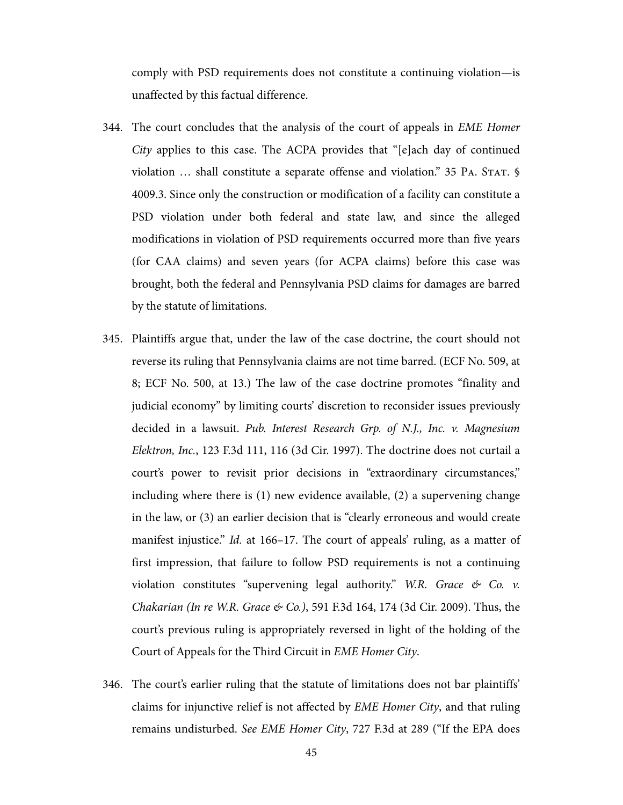comply with PSD requirements does not constitute a continuing violation—is unaffected by this factual difference.

- 344. The court concludes that the analysis of the court of appeals in *EME Homer* City applies to this case. The ACPA provides that "[e]ach day of continued violation … shall constitute a separate offense and violation." 35 PA. STAT. § 4009.3. Since only the construction or modification of a facility can constitute a PSD violation under both federal and state law, and since the alleged modifications in violation of PSD requirements occurred more than five years (for CAA claims) and seven years (for ACPA claims) before this case was brought, both the federal and Pennsylvania PSD claims for damages are barred by the statute of limitations.
- 345. Plaintiffs argue that, under the law of the case doctrine, the court should not reverse its ruling that Pennsylvania claims are not time barred. (ECF No. 509, at 8; ECF No. 500, at 13.) The law of the case doctrine promotes "finality and judicial economy" by limiting courts' discretion to reconsider issues previously decided in a lawsuit. Pub. Interest Research Grp. of N.J., Inc. v. Magnesium Elektron, Inc., 123 F.3d 111, 116 (3d Cir. 1997). The doctrine does not curtail a court's power to revisit prior decisions in "extraordinary circumstances," including where there is (1) new evidence available, (2) a supervening change in the law, or (3) an earlier decision that is "clearly erroneous and would create manifest injustice." Id. at 166–17. The court of appeals' ruling, as a matter of first impression, that failure to follow PSD requirements is not a continuing violation constitutes "supervening legal authority." W.R. Grace  $\&$  Co. v. Chakarian (In re W.R. Grace & Co.), 591 F.3d 164, 174 (3d Cir. 2009). Thus, the court's previous ruling is appropriately reversed in light of the holding of the Court of Appeals for the Third Circuit in EME Homer City.
- 346. The court's earlier ruling that the statute of limitations does not bar plaintiffs' claims for injunctive relief is not affected by EME Homer City, and that ruling remains undisturbed. See EME Homer City, 727 F.3d at 289 ("If the EPA does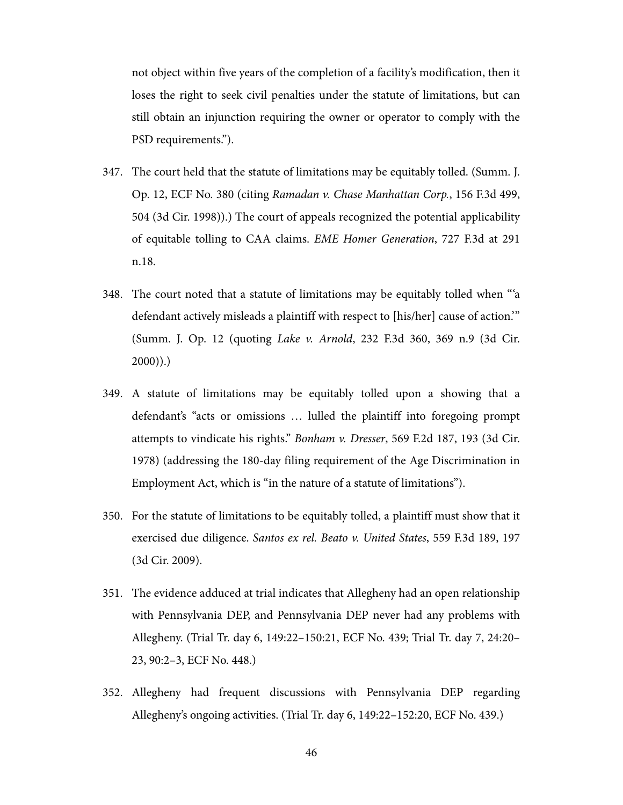not object within five years of the completion of a facility's modification, then it loses the right to seek civil penalties under the statute of limitations, but can still obtain an injunction requiring the owner or operator to comply with the PSD requirements.").

- 347. The court held that the statute of limitations may be equitably tolled. (Summ. J. Op. 12, ECF No. 380 (citing Ramadan v. Chase Manhattan Corp., 156 F.3d 499, 504 (3d Cir. 1998)).) The court of appeals recognized the potential applicability of equitable tolling to CAA claims. EME Homer Generation, 727 F.3d at 291 n.18.
- 348. The court noted that a statute of limitations may be equitably tolled when '''a defendant actively misleads a plaintiff with respect to [his/her] cause of action.'" (Summ. J. Op. 12 (quoting Lake v. Arnold, 232 F.3d 360, 369 n.9 (3d Cir.  $2000)$ ).
- 349. A statute of limitations may be equitably tolled upon a showing that a defendant's "acts or omissions … lulled the plaintiff into foregoing prompt attempts to vindicate his rights." Bonham v. Dresser, 569 F.2d 187, 193 (3d Cir. 1978) (addressing the 180-day filing requirement of the Age Discrimination in Employment Act, which is "in the nature of a statute of limitations").
- 350. For the statute of limitations to be equitably tolled, a plaintiff must show that it exercised due diligence. Santos ex rel. Beato v. United States, 559 F.3d 189, 197 (3d Cir. 2009).
- 351. The evidence adduced at trial indicates that Allegheny had an open relationship with Pennsylvania DEP, and Pennsylvania DEP never had any problems with Allegheny. (Trial Tr. day 6, 149:22–150:21, ECF No. 439; Trial Tr. day 7, 24:20– 23, 90:2–3, ECF No. 448.)
- 352. Allegheny had frequent discussions with Pennsylvania DEP regarding Allegheny's ongoing activities. (Trial Tr. day 6, 149:22–152:20, ECF No. 439.)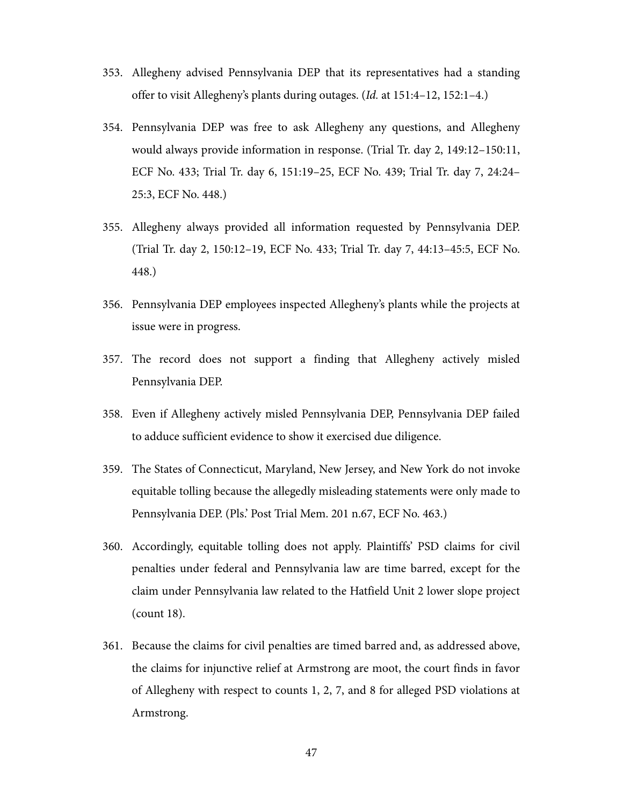- 353. Allegheny advised Pennsylvania DEP that its representatives had a standing offer to visit Allegheny's plants during outages. (Id. at 151:4–12, 152:1–4.)
- 354. Pennsylvania DEP was free to ask Allegheny any questions, and Allegheny would always provide information in response. (Trial Tr. day 2, 149:12–150:11, ECF No. 433; Trial Tr. day 6, 151:19–25, ECF No. 439; Trial Tr. day 7, 24:24– 25:3, ECF No. 448.)
- 355. Allegheny always provided all information requested by Pennsylvania DEP. (Trial Tr. day 2, 150:12–19, ECF No. 433; Trial Tr. day 7, 44:13–45:5, ECF No. 448.)
- 356. Pennsylvania DEP employees inspected Allegheny's plants while the projects at issue were in progress.
- 357. The record does not support a finding that Allegheny actively misled Pennsylvania DEP.
- 358. Even if Allegheny actively misled Pennsylvania DEP, Pennsylvania DEP failed to adduce sufficient evidence to show it exercised due diligence.
- 359. The States of Connecticut, Maryland, New Jersey, and New York do not invoke equitable tolling because the allegedly misleading statements were only made to Pennsylvania DEP. (Pls.' Post Trial Mem. 201 n.67, ECF No. 463.)
- 360. Accordingly, equitable tolling does not apply. Plaintiffs' PSD claims for civil penalties under federal and Pennsylvania law are time barred, except for the claim under Pennsylvania law related to the Hatfield Unit 2 lower slope project (count 18).
- 361. Because the claims for civil penalties are timed barred and, as addressed above, the claims for injunctive relief at Armstrong are moot, the court finds in favor of Allegheny with respect to counts 1, 2, 7, and 8 for alleged PSD violations at Armstrong.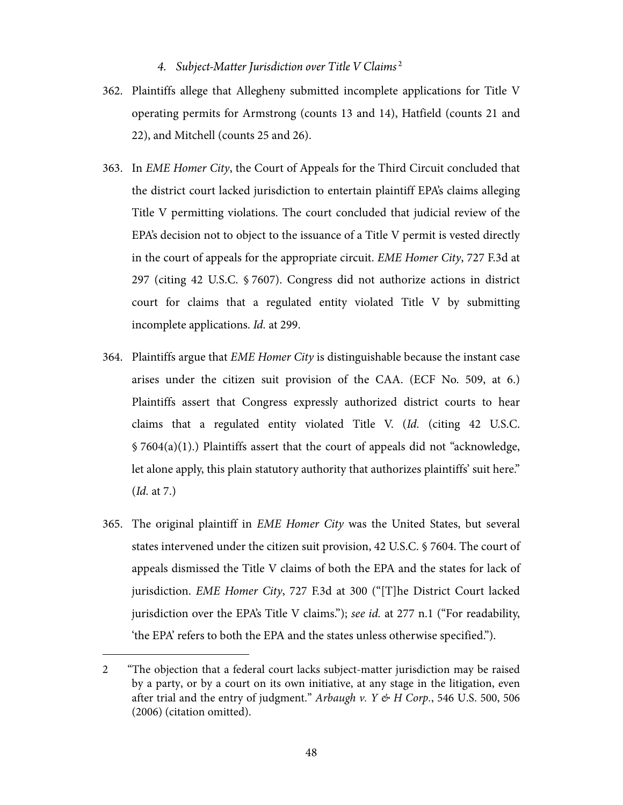## *4. Subject-Matter Jurisdiction over Title V Claims* <sup>2</sup>

- 362. Plaintiffs allege that Allegheny submitted incomplete applications for Title V operating permits for Armstrong (counts 13 and 14), Hatfield (counts 21 and 22), and Mitchell (counts 25 and 26).
- 363. In EME Homer City, the Court of Appeals for the Third Circuit concluded that the district court lacked jurisdiction to entertain plaintiff EPA's claims alleging Title V permitting violations. The court concluded that judicial review of the EPA's decision not to object to the issuance of a Title V permit is vested directly in the court of appeals for the appropriate circuit. EME Homer City, 727 F.3d at 297 (citing 42 U.S.C. § 7607). Congress did not authorize actions in district court for claims that a regulated entity violated Title V by submitting incomplete applications. Id. at 299.
- 364. Plaintiffs argue that EME Homer City is distinguishable because the instant case arises under the citizen suit provision of the CAA. (ECF No. 509, at 6.) Plaintiffs assert that Congress expressly authorized district courts to hear claims that a regulated entity violated Title V. (Id. (citing 42 U.S.C. § 7604(a)(1).) Plaintiffs assert that the court of appeals did not "acknowledge, let alone apply, this plain statutory authority that authorizes plaintiffs' suit here." (Id. at 7.)
- 365. The original plaintiff in EME Homer City was the United States, but several states intervened under the citizen suit provision, 42 U.S.C. § 7604. The court of appeals dismissed the Title V claims of both the EPA and the states for lack of jurisdiction. EME Homer City, 727 F.3d at 300 ("[T]he District Court lacked jurisdiction over the EPA's Title V claims."); see id. at 277 n.1 ("For readability, 'the EPA' refers to both the EPA and the states unless otherwise specified.").

 $\overline{a}$ 

<sup>2 &</sup>quot;The objection that a federal court lacks subject-matter jurisdiction may be raised by a party, or by a court on its own initiative, at any stage in the litigation, even after trial and the entry of judgment." Arbaugh v. Y & H Corp., 546 U.S. 500, 506 (2006) (citation omitted).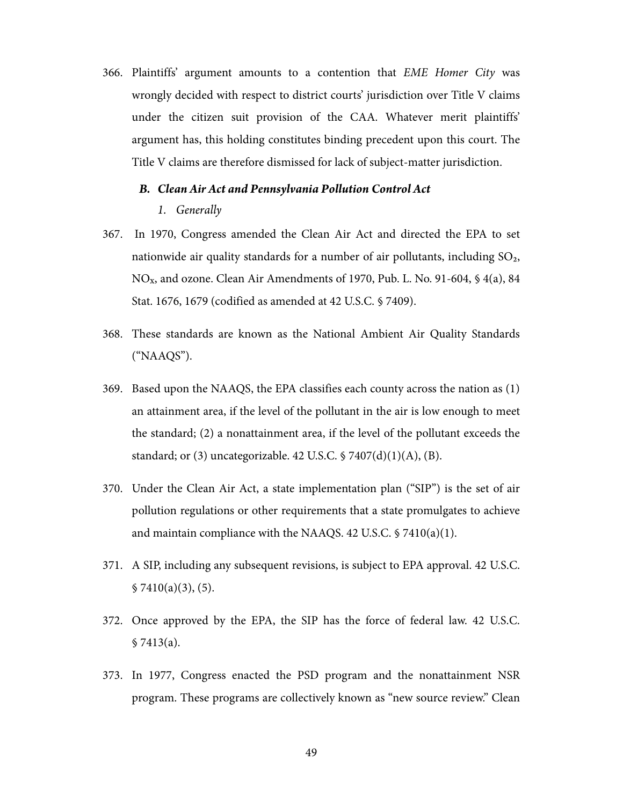366. Plaintiffs' argument amounts to a contention that EME Homer City was wrongly decided with respect to district courts' jurisdiction over Title V claims under the citizen suit provision of the CAA. Whatever merit plaintiffs' argument has, this holding constitutes binding precedent upon this court. The Title V claims are therefore dismissed for lack of subject-matter jurisdiction.

# *B. Clean Air Act and Pennsylvania Pollution Control Act*

#### *1. Generally*

- 367. In 1970, Congress amended the Clean Air Act and directed the EPA to set nationwide air quality standards for a number of air pollutants, including  $SO_2$ , NOx, and ozone. Clean Air Amendments of 1970, Pub. L. No. 91-604, § 4(a), 84 Stat. 1676, 1679 (codified as amended at 42 U.S.C. § 7409).
- 368. These standards are known as the National Ambient Air Quality Standards ("NAAQS").
- 369. Based upon the NAAQS, the EPA classifies each county across the nation as (1) an attainment area, if the level of the pollutant in the air is low enough to meet the standard; (2) a nonattainment area, if the level of the pollutant exceeds the standard; or (3) uncategorizable. 42 U.S.C.  $\frac{57407(d)(1)(A)}{B}$ .
- 370. Under the Clean Air Act, a state implementation plan ("SIP") is the set of air pollution regulations or other requirements that a state promulgates to achieve and maintain compliance with the NAAQS. 42 U.S.C. § 7410(a)(1).
- 371. A SIP, including any subsequent revisions, is subject to EPA approval. 42 U.S.C.  $$7410(a)(3), (5).$
- 372. Once approved by the EPA, the SIP has the force of federal law. 42 U.S.C. § 7413(a).
- 373. In 1977, Congress enacted the PSD program and the nonattainment NSR program. These programs are collectively known as "new source review." Clean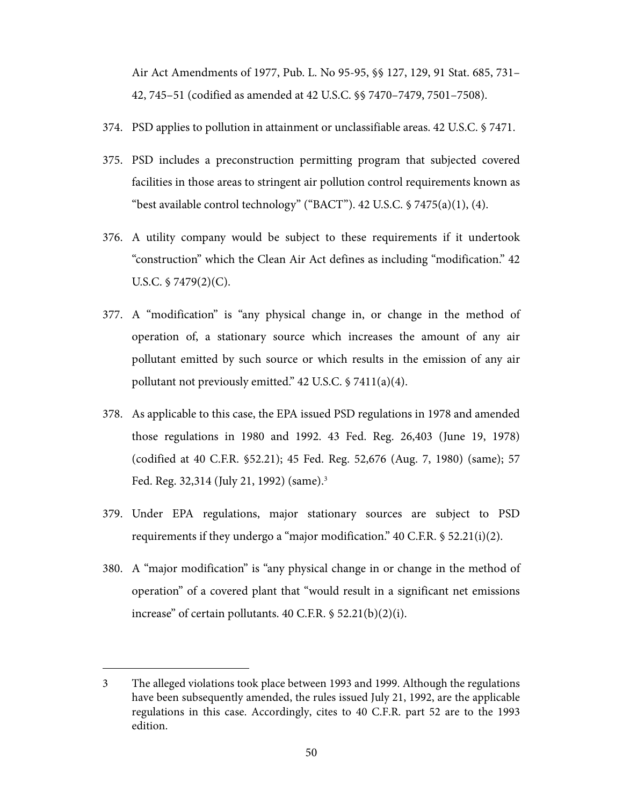Air Act Amendments of 1977, Pub. L. No 95-95, §§ 127, 129, 91 Stat. 685, 731– 42, 745–51 (codified as amended at 42 U.S.C. §§ 7470–7479, 7501–7508).

- 374. PSD applies to pollution in attainment or unclassifiable areas. 42 U.S.C. § 7471.
- 375. PSD includes a preconstruction permitting program that subjected covered facilities in those areas to stringent air pollution control requirements known as "best available control technology" ("BACT"). 42 U.S.C. § 7475(a)(1), (4).
- 376. A utility company would be subject to these requirements if it undertook "construction" which the Clean Air Act defines as including "modification." 42 U.S.C.  $$7479(2)(C)$ .
- 377. A "modification" is "any physical change in, or change in the method of operation of, a stationary source which increases the amount of any air pollutant emitted by such source or which results in the emission of any air pollutant not previously emitted." 42 U.S.C. § 7411(a)(4).
- 378. As applicable to this case, the EPA issued PSD regulations in 1978 and amended those regulations in 1980 and 1992. 43 Fed. Reg. 26,403 (June 19, 1978) (codified at 40 C.F.R. §52.21); 45 Fed. Reg. 52,676 (Aug. 7, 1980) (same); 57 Fed. Reg. 32,314 (July 21, 1992) (same).3
- 379. Under EPA regulations, major stationary sources are subject to PSD requirements if they undergo a "major modification." 40 C.F.R. § 52.21(i)(2).
- 380. A "major modification" is "any physical change in or change in the method of operation" of a covered plant that "would result in a significant net emissions increase" of certain pollutants. 40 C.F.R. § 52.21(b)(2)(i).

 $\overline{a}$ 

<sup>3</sup> The alleged violations took place between 1993 and 1999. Although the regulations have been subsequently amended, the rules issued July 21, 1992, are the applicable regulations in this case. Accordingly, cites to 40 C.F.R. part 52 are to the 1993 edition.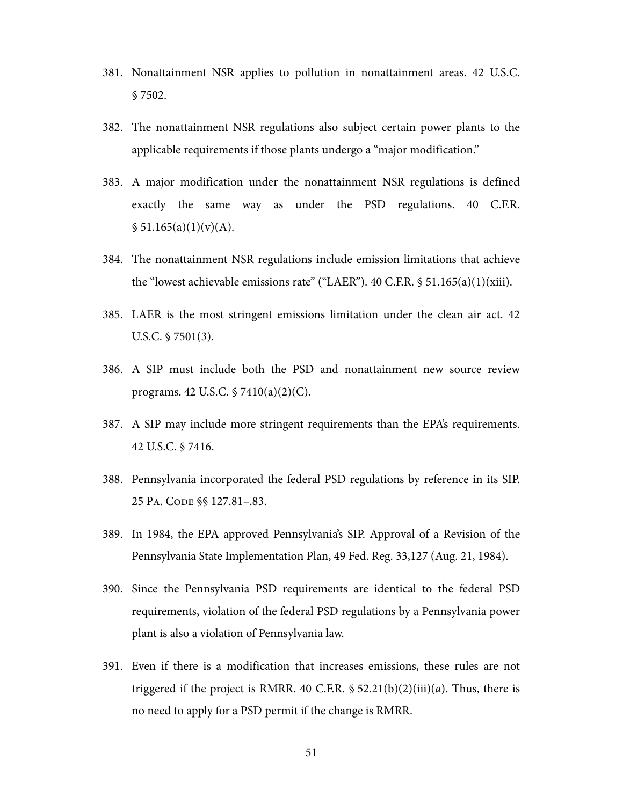- 381. Nonattainment NSR applies to pollution in nonattainment areas. 42 U.S.C. § 7502.
- 382. The nonattainment NSR regulations also subject certain power plants to the applicable requirements if those plants undergo a "major modification."
- 383. A major modification under the nonattainment NSR regulations is defined exactly the same way as under the PSD regulations. 40 C.F.R.  $$51.165(a)(1)(v)(A).$
- 384. The nonattainment NSR regulations include emission limitations that achieve the "lowest achievable emissions rate" ("LAER"). 40 C.F.R.  $\frac{1}{5}$  51.165(a)(1)(xiii).
- 385. LAER is the most stringent emissions limitation under the clean air act. 42 U.S.C. § 7501(3).
- 386. A SIP must include both the PSD and nonattainment new source review programs. 42 U.S.C. § 7410(a)(2)(C).
- 387. A SIP may include more stringent requirements than the EPA's requirements. 42 U.S.C. § 7416.
- 388. Pennsylvania incorporated the federal PSD regulations by reference in its SIP. 25 PA. CODE §§ 127.81–.83.
- 389. In 1984, the EPA approved Pennsylvania's SIP. Approval of a Revision of the Pennsylvania State Implementation Plan, 49 Fed. Reg. 33,127 (Aug. 21, 1984).
- 390. Since the Pennsylvania PSD requirements are identical to the federal PSD requirements, violation of the federal PSD regulations by a Pennsylvania power plant is also a violation of Pennsylvania law.
- 391. Even if there is a modification that increases emissions, these rules are not triggered if the project is RMRR. 40 C.F.R.  $\frac{52.21(b)(2)(iii)}{a}$ . Thus, there is no need to apply for a PSD permit if the change is RMRR.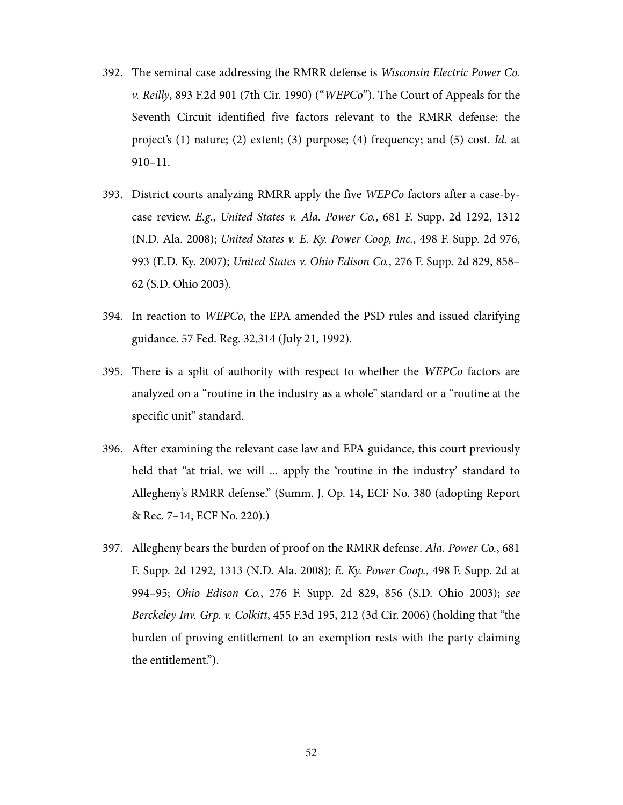- 392. The seminal case addressing the RMRR defense is Wisconsin Electric Power Co. v. Reilly, 893 F.2d 901 (7th Cir. 1990) ("WEPCo"). The Court of Appeals for the Seventh Circuit identified five factors relevant to the RMRR defense: the project's (1) nature; (2) extent; (3) purpose; (4) frequency; and (5) cost. Id. at 910–11.
- 393. District courts analyzing RMRR apply the five WEPCo factors after a case-bycase review. E.g., United States v. Ala. Power Co., 681 F. Supp. 2d 1292, 1312 (N.D. Ala. 2008); United States v. E. Ky. Power Coop, Inc., 498 F. Supp. 2d 976, 993 (E.D. Ky. 2007); United States v. Ohio Edison Co., 276 F. Supp. 2d 829, 858– 62 (S.D. Ohio 2003).
- 394. In reaction to WEPCo, the EPA amended the PSD rules and issued clarifying guidance. 57 Fed. Reg. 32,314 (July 21, 1992).
- 395. There is a split of authority with respect to whether the WEPCo factors are analyzed on a "routine in the industry as a whole" standard or a "routine at the specific unit" standard.
- 396. After examining the relevant case law and EPA guidance, this court previously held that "at trial, we will ... apply the 'routine in the industry' standard to Allegheny's RMRR defense." (Summ. J. Op. 14, ECF No. 380 (adopting Report & Rec. 7–14, ECF No. 220).)
- 397. Allegheny bears the burden of proof on the RMRR defense. Ala. Power Co., 681 F. Supp. 2d 1292, 1313 (N.D. Ala. 2008); E. Ky. Power Coop., 498 F. Supp. 2d at 994–95; Ohio Edison Co., 276 F. Supp. 2d 829, 856 (S.D. Ohio 2003); see Berckeley Inv. Grp. v. Colkitt, 455 F.3d 195, 212 (3d Cir. 2006) (holding that "the burden of proving entitlement to an exemption rests with the party claiming the entitlement.").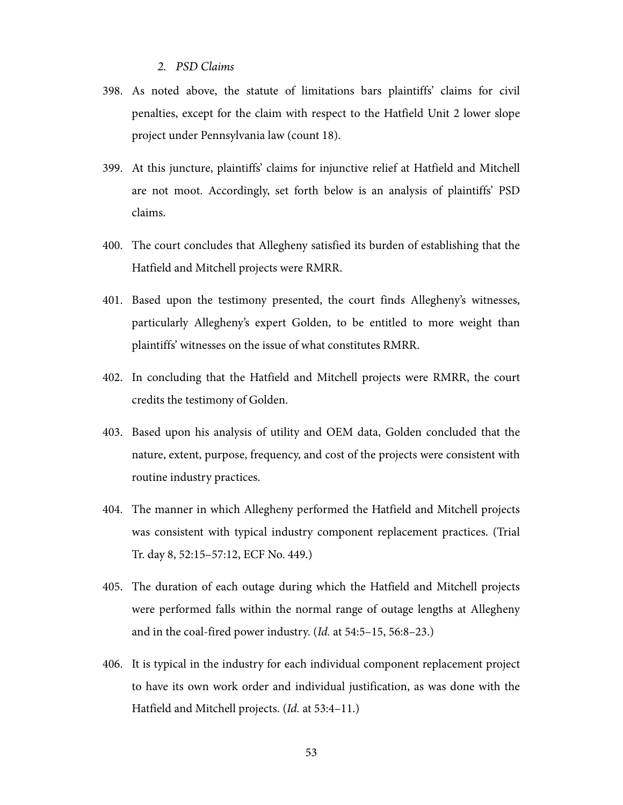## *2. PSD Claims*

- 398. As noted above, the statute of limitations bars plaintiffs' claims for civil penalties, except for the claim with respect to the Hatfield Unit 2 lower slope project under Pennsylvania law (count 18).
- 399. At this juncture, plaintiffs' claims for injunctive relief at Hatfield and Mitchell are not moot. Accordingly, set forth below is an analysis of plaintiffs' PSD claims.
- 400. The court concludes that Allegheny satisfied its burden of establishing that the Hatfield and Mitchell projects were RMRR.
- 401. Based upon the testimony presented, the court finds Allegheny's witnesses, particularly Allegheny's expert Golden, to be entitled to more weight than plaintiffs' witnesses on the issue of what constitutes RMRR.
- 402. In concluding that the Hatfield and Mitchell projects were RMRR, the court credits the testimony of Golden.
- 403. Based upon his analysis of utility and OEM data, Golden concluded that the nature, extent, purpose, frequency, and cost of the projects were consistent with routine industry practices.
- 404. The manner in which Allegheny performed the Hatfield and Mitchell projects was consistent with typical industry component replacement practices. (Trial Tr. day 8, 52:15–57:12, ECF No. 449.)
- 405. The duration of each outage during which the Hatfield and Mitchell projects were performed falls within the normal range of outage lengths at Allegheny and in the coal-fired power industry. (Id. at 54:5–15, 56:8–23.)
- 406. It is typical in the industry for each individual component replacement project to have its own work order and individual justification, as was done with the Hatfield and Mitchell projects. (Id. at 53:4–11.)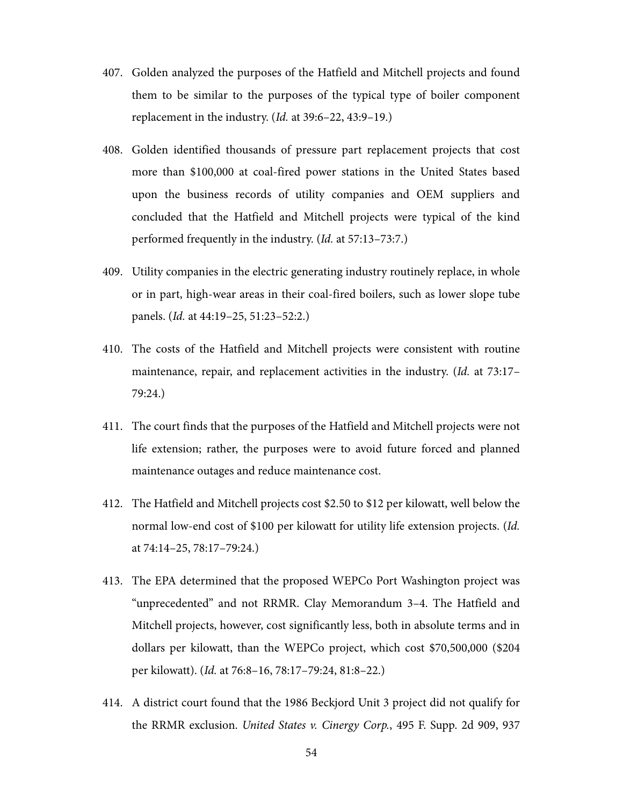- 407. Golden analyzed the purposes of the Hatfield and Mitchell projects and found them to be similar to the purposes of the typical type of boiler component replacement in the industry. (Id. at 39:6–22, 43:9–19.)
- 408. Golden identified thousands of pressure part replacement projects that cost more than \$100,000 at coal-fired power stations in the United States based upon the business records of utility companies and OEM suppliers and concluded that the Hatfield and Mitchell projects were typical of the kind performed frequently in the industry. (Id. at 57:13–73:7.)
- 409. Utility companies in the electric generating industry routinely replace, in whole or in part, high-wear areas in their coal-fired boilers, such as lower slope tube panels. (Id. at 44:19–25, 51:23–52:2.)
- 410. The costs of the Hatfield and Mitchell projects were consistent with routine maintenance, repair, and replacement activities in the industry. (Id. at 73:17– 79:24.)
- 411. The court finds that the purposes of the Hatfield and Mitchell projects were not life extension; rather, the purposes were to avoid future forced and planned maintenance outages and reduce maintenance cost.
- 412. The Hatfield and Mitchell projects cost \$2.50 to \$12 per kilowatt, well below the normal low-end cost of \$100 per kilowatt for utility life extension projects. (Id. at 74:14–25, 78:17–79:24.)
- 413. The EPA determined that the proposed WEPCo Port Washington project was "unprecedented" and not RRMR. Clay Memorandum 3–4. The Hatfield and Mitchell projects, however, cost significantly less, both in absolute terms and in dollars per kilowatt, than the WEPCo project, which cost \$70,500,000 (\$204 per kilowatt). (Id. at 76:8–16, 78:17–79:24, 81:8–22.)
- 414. A district court found that the 1986 Beckjord Unit 3 project did not qualify for the RRMR exclusion. United States v. Cinergy Corp., 495 F. Supp. 2d 909, 937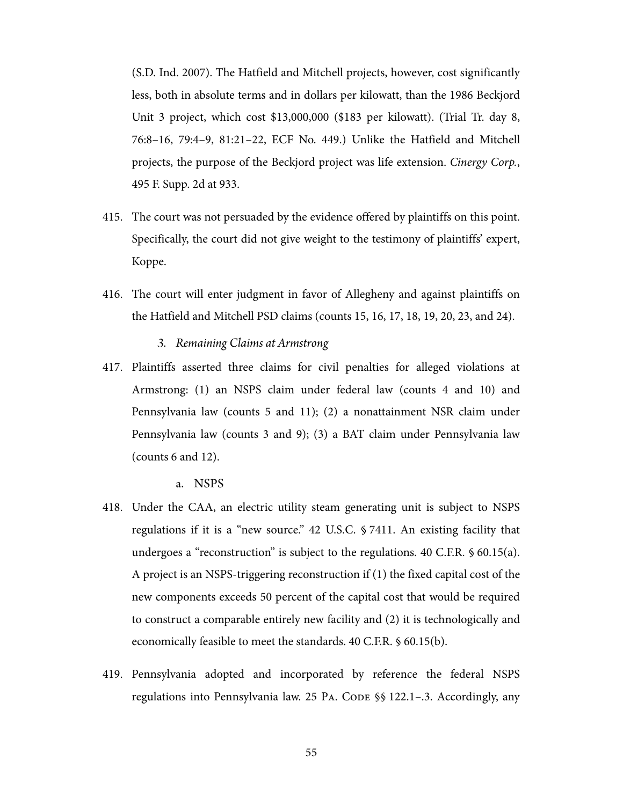(S.D. Ind. 2007). The Hatfield and Mitchell projects, however, cost significantly less, both in absolute terms and in dollars per kilowatt, than the 1986 Beckjord Unit 3 project, which cost \$13,000,000 (\$183 per kilowatt). (Trial Tr. day 8, 76:8–16, 79:4–9, 81:21–22, ECF No. 449.) Unlike the Hatfield and Mitchell projects, the purpose of the Beckjord project was life extension. Cinergy Corp., 495 F. Supp. 2d at 933.

- 415. The court was not persuaded by the evidence offered by plaintiffs on this point. Specifically, the court did not give weight to the testimony of plaintiffs' expert, Koppe.
- 416. The court will enter judgment in favor of Allegheny and against plaintiffs on the Hatfield and Mitchell PSD claims (counts 15, 16, 17, 18, 19, 20, 23, and 24).
	- *3. Remaining Claims at Armstrong*
- 417. Plaintiffs asserted three claims for civil penalties for alleged violations at Armstrong: (1) an NSPS claim under federal law (counts 4 and 10) and Pennsylvania law (counts 5 and 11); (2) a nonattainment NSR claim under Pennsylvania law (counts 3 and 9); (3) a BAT claim under Pennsylvania law (counts 6 and 12).
	- a. NSPS
- 418. Under the CAA, an electric utility steam generating unit is subject to NSPS regulations if it is a "new source." 42 U.S.C. § 7411. An existing facility that undergoes a "reconstruction" is subject to the regulations. 40 C.F.R. § 60.15(a). A project is an NSPS-triggering reconstruction if (1) the fixed capital cost of the new components exceeds 50 percent of the capital cost that would be required to construct a comparable entirely new facility and (2) it is technologically and economically feasible to meet the standards. 40 C.F.R. § 60.15(b).
- 419. Pennsylvania adopted and incorporated by reference the federal NSPS regulations into Pennsylvania law. 25 PA. CODE §§ 122.1–.3. Accordingly, any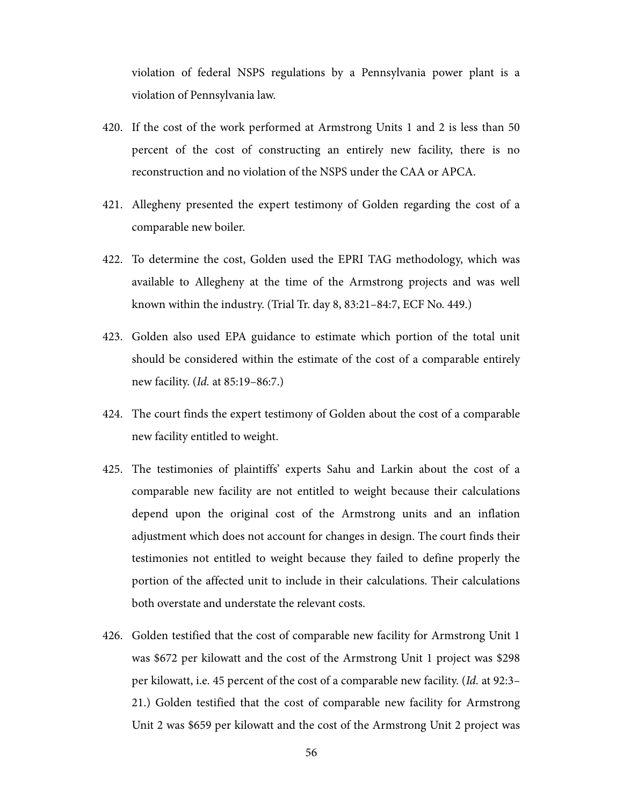violation of federal NSPS regulations by a Pennsylvania power plant is a violation of Pennsylvania law.

- 420. If the cost of the work performed at Armstrong Units 1 and 2 is less than 50 percent of the cost of constructing an entirely new facility, there is no reconstruction and no violation of the NSPS under the CAA or APCA.
- 421. Allegheny presented the expert testimony of Golden regarding the cost of a comparable new boiler.
- 422. To determine the cost, Golden used the EPRI TAG methodology, which was available to Allegheny at the time of the Armstrong projects and was well known within the industry. (Trial Tr. day 8, 83:21–84:7, ECF No. 449.)
- 423. Golden also used EPA guidance to estimate which portion of the total unit should be considered within the estimate of the cost of a comparable entirely new facility. (Id. at 85:19–86:7.)
- 424. The court finds the expert testimony of Golden about the cost of a comparable new facility entitled to weight.
- 425. The testimonies of plaintiffs' experts Sahu and Larkin about the cost of a comparable new facility are not entitled to weight because their calculations depend upon the original cost of the Armstrong units and an inflation adjustment which does not account for changes in design. The court finds their testimonies not entitled to weight because they failed to define properly the portion of the affected unit to include in their calculations. Their calculations both overstate and understate the relevant costs.
- 426. Golden testified that the cost of comparable new facility for Armstrong Unit 1 was \$672 per kilowatt and the cost of the Armstrong Unit 1 project was \$298 per kilowatt, i.e. 45 percent of the cost of a comparable new facility. (Id. at 92:3– 21.) Golden testified that the cost of comparable new facility for Armstrong Unit 2 was \$659 per kilowatt and the cost of the Armstrong Unit 2 project was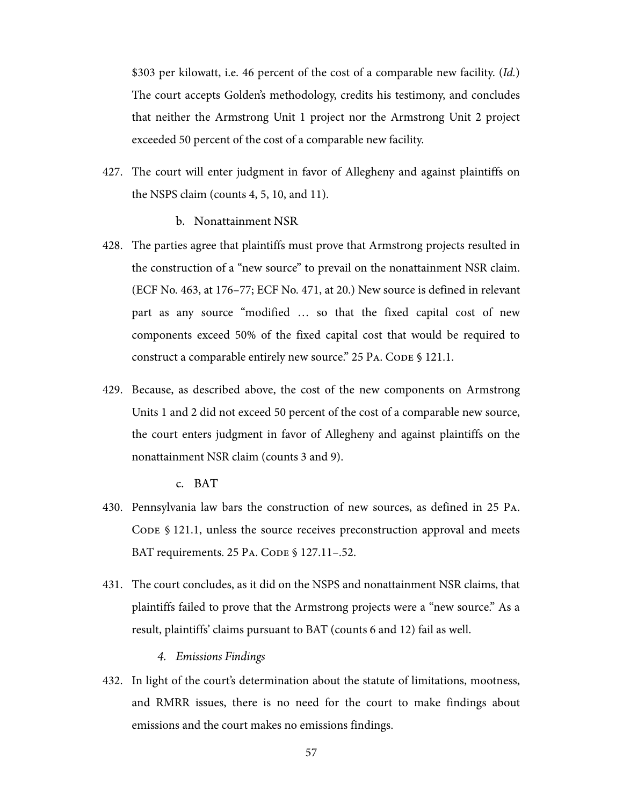\$303 per kilowatt, i.e. 46 percent of the cost of a comparable new facility. (Id.) The court accepts Golden's methodology, credits his testimony, and concludes that neither the Armstrong Unit 1 project nor the Armstrong Unit 2 project exceeded 50 percent of the cost of a comparable new facility.

427. The court will enter judgment in favor of Allegheny and against plaintiffs on the NSPS claim (counts 4, 5, 10, and 11).

## b. Nonattainment NSR

- 428. The parties agree that plaintiffs must prove that Armstrong projects resulted in the construction of a "new source" to prevail on the nonattainment NSR claim. (ECF No. 463, at 176–77; ECF No. 471, at 20.) New source is defined in relevant part as any source "modified … so that the fixed capital cost of new components exceed 50% of the fixed capital cost that would be required to construct a comparable entirely new source." 25 PA. CODE § 121.1.
- 429. Because, as described above, the cost of the new components on Armstrong Units 1 and 2 did not exceed 50 percent of the cost of a comparable new source, the court enters judgment in favor of Allegheny and against plaintiffs on the nonattainment NSR claim (counts 3 and 9).

c. BAT

- 430. Pennsylvania law bars the construction of new sources, as defined in 25 PA. CODE § 121.1, unless the source receives preconstruction approval and meets BAT requirements. 25 PA. CODE § 127.11–.52.
- 431. The court concludes, as it did on the NSPS and nonattainment NSR claims, that plaintiffs failed to prove that the Armstrong projects were a "new source." As a result, plaintiffs' claims pursuant to BAT (counts 6 and 12) fail as well.

#### *4. Emissions Findings*

432. In light of the court's determination about the statute of limitations, mootness, and RMRR issues, there is no need for the court to make findings about emissions and the court makes no emissions findings.